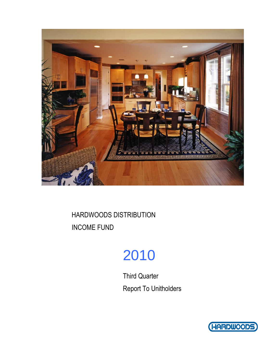

# 2010

Third Quarter Report To Unitholders

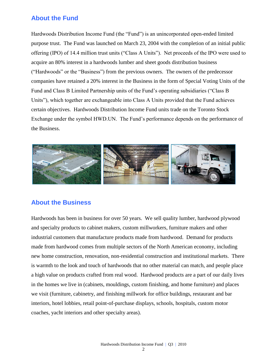## **About the Fund**

Hardwoods Distribution Income Fund (the "Fund") is an unincorporated open-ended limited purpose trust. The Fund was launched on March 23, 2004 with the completion of an initial public offering (IPO) of 14.4 million trust units ("Class A Units"). Net proceeds of the IPO were used to acquire an 80% interest in a hardwoods lumber and sheet goods distribution business ("Hardwoods" or the "Business") from the previous owners. The owners of the predecessor companies have retained a 20% interest in the Business in the form of Special Voting Units of the Fund and Class B Limited Partnership units of the Fund's operating subsidiaries ("Class B Units"), which together are exchangeable into Class A Units provided that the Fund achieves certain objectives. Hardwoods Distribution Income Fund units trade on the Toronto Stock Exchange under the symbol HWD.UN. The Fund's performance depends on the performance of the Business.



### **About the Business**

Hardwoods has been in business for over 50 years. We sell quality lumber, hardwood plywood and specialty products to cabinet makers, custom millworkers, furniture makers and other industrial customers that manufacture products made from hardwood. Demand for products made from hardwood comes from multiple sectors of the North American economy, including new home construction, renovation, non-residential construction and institutional markets. There is warmth to the look and touch of hardwoods that no other material can match, and people place a high value on products crafted from real wood. Hardwood products are a part of our daily lives in the homes we live in (cabinets, mouldings, custom finishing, and home furniture) and places we visit (furniture, cabinetry, and finishing millwork for office buildings, restaurant and bar interiors, hotel lobbies, retail point-of-purchase displays, schools, hospitals, custom motor coaches, yacht interiors and other specialty areas).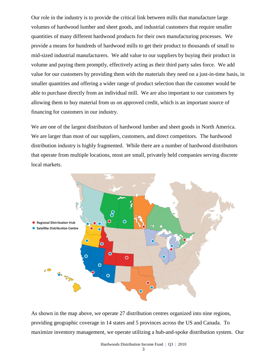Our role in the industry is to provide the critical link between mills that manufacture large volumes of hardwood lumber and sheet goods, and industrial customers that require smaller quantities of many different hardwood products for their own manufacturing processes. We provide a means for hundreds of hardwood mills to get their product to thousands of small to mid-sized industrial manufacturers. We add value to our suppliers by buying their product in volume and paying them promptly, effectively acting as their third party sales force. We add value for our customers by providing them with the materials they need on a just-in-time basis, in smaller quantities and offering a wider range of product selection than the customer would be able to purchase directly from an individual mill. We are also important to our customers by allowing them to buy material from us on approved credit, which is an important source of financing for customers in our industry.

We are one of the largest distributors of hardwood lumber and sheet goods in North America. We are larger than most of our suppliers, customers, and direct competitors. The hardwood distribution industry is highly fragmented. While there are a number of hardwood distributors that operate from multiple locations, most are small, privately held companies serving discrete local markets.



As shown in the map above, we operate 27 distribution centres organized into nine regions, providing geographic coverage in 14 states and 5 provinces across the US and Canada. To maximize inventory management, we operate utilizing a hub-and-spoke distribution system. Our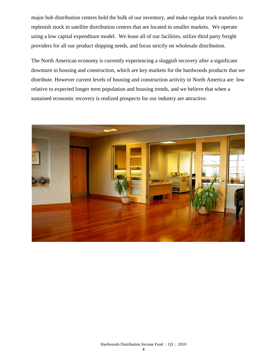major hub distribution centres hold the bulk of our inventory, and make regular truck transfers to replenish stock in satellite distribution centres that are located in smaller markets. We operate using a low capital expenditure model. We lease all of our facilities, utilize third party freight providers for all our product shipping needs, and focus strictly on wholesale distribution.

The North American economy is currently experiencing a sluggish recovery after a significant downturn in housing and construction, which are key markets for the hardwoods products that we distribute. However current levels of housing and construction activity in North America are low relative to expected longer term population and housing trends, and we believe that when a sustained economic recovery is realized prospects for our industry are attractive.

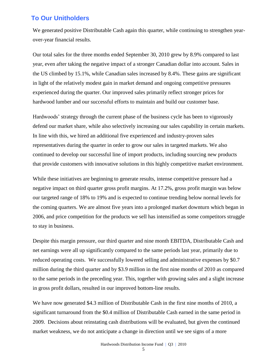## **To Our Unitholders**

We generated positive Distributable Cash again this quarter, while continuing to strengthen yearover-year financial results.

Our total sales for the three months ended September 30, 2010 grew by 8.9% compared to last year, even after taking the negative impact of a stronger Canadian dollar into account. Sales in the US climbed by 15.1%, while Canadian sales increased by 8.4%. These gains are significant in light of the relatively modest gain in market demand and ongoing competitive pressures experienced during the quarter. Our improved sales primarily reflect stronger prices for hardwood lumber and our successful efforts to maintain and build our customer base.

Hardwoods' strategy through the current phase of the business cycle has been to vigorously defend our market share, while also selectively increasing our sales capability in certain markets. In line with this, we hired an additional five experienced and industry-proven sales representatives during the quarter in order to grow our sales in targeted markets. We also continued to develop our successful line of import products, including sourcing new products that provide customers with innovative solutions in this highly competitive market environment.

While these initiatives are beginning to generate results, intense competitive pressure had a negative impact on third quarter gross profit margins. At 17.2%, gross profit margin was below our targeted range of 18% to 19% and is expected to continue trending below normal levels for the coming quarters. We are almost five years into a prolonged market downturn which began in 2006, and price competition for the products we sell has intensified as some competitors struggle to stay in business.

Despite this margin pressure, our third quarter and nine month EBITDA, Distributable Cash and net earnings were all up significantly compared to the same periods last year, primarily due to reduced operating costs. We successfully lowered selling and administrative expenses by \$0.7 million during the third quarter and by \$3.9 million in the first nine months of 2010 as compared to the same periods in the preceding year. This, together with growing sales and a slight increase in gross profit dollars, resulted in our improved bottom-line results.

We have now generated \$4.3 million of Distributable Cash in the first nine months of 2010, a significant turnaround from the \$0.4 million of Distributable Cash earned in the same period in 2009. Decisions about reinstating cash distributions will be evaluated, but given the continued market weakness, we do not anticipate a change in direction until we see signs of a more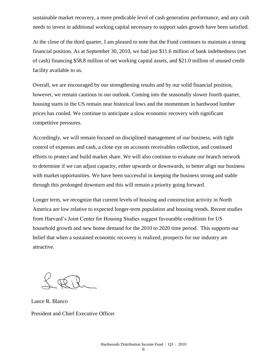sustainable market recovery, a more predicable level of cash generation performance, and any cash needs to invest in additional working capital necessary to support sales growth have been satisfied.

At the close of the third quarter, I am pleased to note that the Fund continues to maintain a strong financial position. As at September 30, 2010, we had just \$11.6 million of bank indebtedness (net of cash) financing \$58.8 million of net working capital assets, and \$21.0 million of unused credit facility available to us.

Overall, we are encouraged by our strengthening results and by our solid financial position, however, we remain cautious in our outlook. Coming into the seasonally slower fourth quarter, housing starts in the US remain near historical lows and the momentum in hardwood lumber prices has cooled. We continue to anticipate a slow economic recovery with significant competitive pressures.

Accordingly, we will remain focused on disciplined management of our business, with tight control of expenses and cash, a close eye on accounts receivables collection, and continued efforts to protect and build market share. We will also continue to evaluate our branch network to determine if we can adjust capacity, either upwards or downwards, to better align our business with market opportunities. We have been successful in keeping the business strong and stable through this prolonged downturn and this will remain a priority going forward.

Longer term, we recognize that current levels of housing and construction activity in North America are low relative to expected longer-term population and housing trends. Recent studies from Harvard's Joint Center for Housing Studies suggest favourable conditions for US household growth and new home demand for the 2010 to 2020 time period. This supports our belief that when a sustained economic recovery is realized, prospects for our industry are attractive.

Lance R. Blanco President and Chief Executive Officer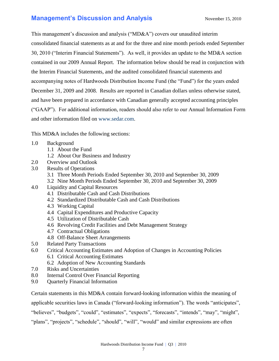## **Management's Discussion and Analysis** November 15, 2010

This management's discussion and analysis ("MD&A") covers our unaudited interim consolidated financial statements as at and for the three and nine month periods ended September 30, 2010 ("Interim Financial Statements"). As well, it provides an update to the MD&A section contained in our 2009 Annual Report. The information below should be read in conjunction with the Interim Financial Statements, and the audited consolidated financial statements and accompanying notes of Hardwoods Distribution Income Fund (the "Fund") for the years ended December 31, 2009 and 2008. Results are reported in Canadian dollars unless otherwise stated, and have been prepared in accordance with Canadian generally accepted accounting principles ("GAAP"). For additional information, readers should also refer to our Annual Information Form and other information filed on [www.sedar.com.](http://www.sedar.com/)

This MD&A includes the following sections:

- 1.0 Background
	- 1.1 About the Fund
	- 1.2 About Our Business and Industry
- 2.0 Overview and Outlook
- 3.0 Results of Operations
	- 3.1 Three Month Periods Ended September 30, 2010 and September 30, 2009
	- 3.2 Nine Month Periods Ended September 30, 2010 and September 30, 2009
- 4.0 Liquidity and Capital Resources
	- 4.1 Distributable Cash and Cash Distributions
	- 4.2 Standardized Distributable Cash and Cash Distributions
	- 4.3 Working Capital
	- 4.4 Capital Expenditures and Productive Capacity
	- 4.5 Utilization of Distributable Cash
	- 4.6 Revolving Credit Facilities and Debt Management Strategy
	- 4.7 Contractual Obligations
	- 4.8 Off-Balance Sheet Arrangements
- 5.0 Related Party Transactions
- 6.0 Critical Accounting Estimates and Adoption of Changes in Accounting Policies 6.1 Critical Accounting Estimates
	- 6.2 Adoption of New Accounting Standards
- 7.0 Risks and Uncertainties
- 8.0 Internal Control Over Financial Reporting
- 9.0 Quarterly Financial Information

Certain statements in this MD&A contain forward-looking information within the meaning of

applicable securities laws in Canada ("forward-looking information"). The words "anticipates",

"believes", "budgets", "could", "estimates", "expects", "forecasts", "intends", "may", "might",

"plans", "projects", "schedule", "should", "will", "would" and similar expressions are often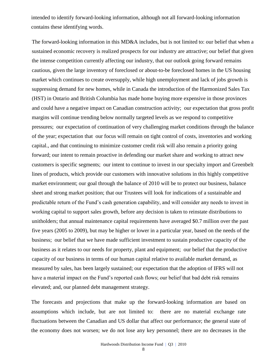intended to identify forward-looking information, although not all forward-looking information contains these identifying words.

The forward-looking information in this MD&A includes, but is not limited to: our belief that when a sustained economic recovery is realized prospects for our industry are attractive; our belief that given the intense competition currently affecting our industry, that our outlook going forward remains cautious, given the large inventory of foreclosed or about-to-be foreclosed homes in the US housing market which continues to create oversupply, while high unemployment and lack of jobs growth is suppressing demand for new homes, while in Canada the introduction of the Harmonized Sales Tax (HST) in Ontario and British Columbia has made home buying more expensive in those provinces and could have a negative impact on Canadian construction activity; our expectation that gross profit margins will continue trending below normally targeted levels as we respond to competitive pressures; our expectation of continuation of very challenging market conditions through the balance of the year; expectation that our focus will remain on tight control of costs, inventories and working capital., and that continuing to minimize customer credit risk will also remain a priority going forward; our intent to remain proactive in defending our market share and working to attract new customers is specific segments; our intent to continue to invest in our specialty import and Greenbelt lines of products, which provide our customers with innovative solutions in this highly competitive market environment; our goal through the balance of 2010 will be to protect our business, balance sheet and strong market position; that our Trustees will look for indications of a sustainable and predictable return of the Fund's cash generation capability, and will consider any needs to invest in working capital to support sales growth, before any decision is taken to reinstate distributions to unitholders; that annual maintenance capital requirements have averaged \$0.7 million over the past five years (2005 to 2009), but may be higher or lower in a particular year, based on the needs of the business; our belief that we have made sufficient investment to sustain productive capacity of the business as it relates to our needs for property, plant and equipment; our belief that the productive capacity of our business in terms of our human capital relative to available market demand, as measured by sales, has been largely sustained; our expectation that the adoption of IFRS will not have a material impact on the Fund's reported cash flows; our belief that bad debt risk remains elevated; and, our planned debt management strategy.

The forecasts and projections that make up the forward-looking information are based on assumptions which include, but are not limited to: there are no material exchange rate fluctuations between the Canadian and US dollar that affect our performance; the general state of the economy does not worsen; we do not lose any key personnel; there are no decreases in the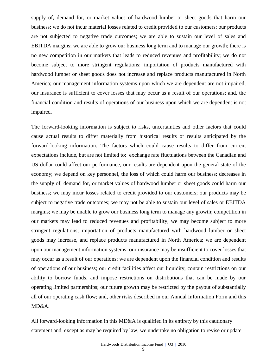supply of, demand for, or market values of hardwood lumber or sheet goods that harm our business; we do not incur material losses related to credit provided to our customers; our products are not subjected to negative trade outcomes; we are able to sustain our level of sales and EBITDA margins; we are able to grow our business long term and to manage our growth; there is no new competition in our markets that leads to reduced revenues and profitability; we do not become subject to more stringent regulations; importation of products manufactured with hardwood lumber or sheet goods does not increase and replace products manufactured in North America; our management information systems upon which we are dependent are not impaired; our insurance is sufficient to cover losses that may occur as a result of our operations; and, the financial condition and results of operations of our business upon which we are dependent is not impaired.

The forward-looking information is subject to risks, uncertainties and other factors that could cause actual results to differ materially from historical results or results anticipated by the forward-looking information. The factors which could cause results to differ from current expectations include, but are not limited to: exchange rate fluctuations between the Canadian and US dollar could affect our performance; our results are dependent upon the general state of the economy; we depend on key personnel, the loss of which could harm our business; decreases in the supply of, demand for, or market values of hardwood lumber or sheet goods could harm our business; we may incur losses related to credit provided to our customers; our products may be subject to negative trade outcomes; we may not be able to sustain our level of sales or EBITDA margins; we may be unable to grow our business long term to manage any growth; competition in our markets may lead to reduced revenues and profitability; we may become subject to more stringent regulations; importation of products manufactured with hardwood lumber or sheet goods may increase, and replace products manufactured in North America; we are dependent upon our management information systems; our insurance may be insufficient to cover losses that may occur as a result of our operations; we are dependent upon the financial condition and results of operations of our business; our credit facilities affect our liquidity, contain restrictions on our ability to borrow funds, and impose restrictions on distributions that can be made by our operating limited partnerships; our future growth may be restricted by the payout of substantially all of our operating cash flow; and, other risks described in our Annual Information Form and this MD&A.

All forward-looking information in this MD&A is qualified in its entirety by this cautionary statement and, except as may be required by law, we undertake no obligation to revise or update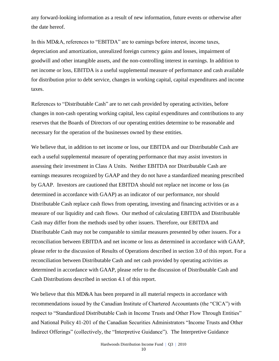any forward-looking information as a result of new information, future events or otherwise after the date hereof.

In this MD&A, references to "EBITDA" are to earnings before interest, income taxes, depreciation and amortization, unrealized foreign currency gains and losses, impairment of goodwill and other intangible assets, and the non-controlling interest in earnings. In addition to net income or loss, EBITDA is a useful supplemental measure of performance and cash available for distribution prior to debt service, changes in working capital, capital expenditures and income taxes.

References to "Distributable Cash" are to net cash provided by operating activities, before changes in non-cash operating working capital, less capital expenditures and contributions to any reserves that the Boards of Directors of our operating entities determine to be reasonable and necessary for the operation of the businesses owned by these entities.

We believe that, in addition to net income or loss, our EBITDA and our Distributable Cash are each a useful supplemental measure of operating performance that may assist investors in assessing their investment in Class A Units. Neither EBITDA nor Distributable Cash are earnings measures recognized by GAAP and they do not have a standardized meaning prescribed by GAAP. Investors are cautioned that EBITDA should not replace net income or loss (as determined in accordance with GAAP) as an indicator of our performance, nor should Distributable Cash replace cash flows from operating, investing and financing activities or as a measure of our liquidity and cash flows. Our method of calculating EBITDA and Distributable Cash may differ from the methods used by other issuers. Therefore, our EBITDA and Distributable Cash may not be comparable to similar measures presented by other issuers. For a reconciliation between EBITDA and net income or loss as determined in accordance with GAAP, please refer to the discussion of Results of Operations described in section 3.0 of this report. For a reconciliation between Distributable Cash and net cash provided by operating activities as determined in accordance with GAAP, please refer to the discussion of Distributable Cash and Cash Distributions described in section 4.1 of this report.

We believe that this MD&A has been prepared in all material respects in accordance with recommendations issued by the Canadian Institute of Chartered Accountants (the "CICA") with respect to "Standardized Distributable Cash in Income Trusts and Other Flow Through Entities" and National Policy 41-201 of the Canadian Securities Administrators "Income Trusts and Other Indirect Offerings" (collectively, the "Interpretive Guidance"). The Interpretive Guidance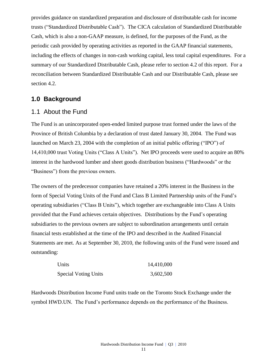provides guidance on standardized preparation and disclosure of distributable cash for income trusts ("Standardized Distributable Cash"). The CICA calculation of Standardized Distributable Cash, which is also a non-GAAP measure, is defined, for the purposes of the Fund, as the periodic cash provided by operating activities as reported in the GAAP financial statements, including the effects of changes in non-cash working capital, less total capital expenditures. For a summary of our Standardized Distributable Cash, please refer to section 4.2 of this report. For a reconciliation between Standardized Distributable Cash and our Distributable Cash, please see section 4.2.

### **1.0 Background**

### 1.1 About the Fund

The Fund is an unincorporated open-ended limited purpose trust formed under the laws of the Province of British Columbia by a declaration of trust dated January 30, 2004. The Fund was launched on March 23, 2004 with the completion of an initial public offering ("IPO") of 14,410,000 trust Voting Units ("Class A Units"). Net IPO proceeds were used to acquire an 80% interest in the hardwood lumber and sheet goods distribution business ("Hardwoods" or the "Business") from the previous owners.

The owners of the predecessor companies have retained a 20% interest in the Business in the form of Special Voting Units of the Fund and Class B Limited Partnership units of the Fund's operating subsidiaries ("Class B Units"), which together are exchangeable into Class A Units provided that the Fund achieves certain objectives. Distributions by the Fund's operating subsidiaries to the previous owners are subject to subordination arrangements until certain financial tests established at the time of the IPO and described in the Audited Financial Statements are met. As at September 30, 2010, the following units of the Fund were issued and outstanding:

| Units                       | 14,410,000 |
|-----------------------------|------------|
| <b>Special Voting Units</b> | 3,602,500  |

Hardwoods Distribution Income Fund units trade on the Toronto Stock Exchange under the symbol HWD.UN. The Fund's performance depends on the performance of the Business.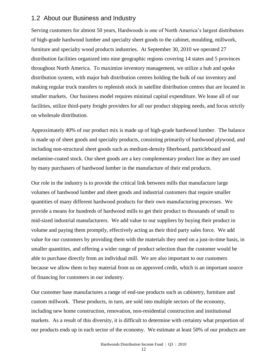### 1.2 About our Business and Industry

Serving customers for almost 50 years, Hardwoods is one of North America's largest distributors of high-grade hardwood lumber and specialty sheet goods to the cabinet, moulding, millwork, furniture and specialty wood products industries. At September 30, 2010 we operated 27 distribution facilities organized into nine geographic regions covering 14 states and 5 provinces throughout North America. To maximize inventory management, we utilize a hub and spoke distribution system, with major hub distribution centres holding the bulk of our inventory and making regular truck transfers to replenish stock in satellite distribution centres that are located in smaller markets. Our business model requires minimal capital expenditure. We lease all of our facilities, utilize third-party freight providers for all our product shipping needs, and focus strictly on wholesale distribution.

Approximately 40% of our product mix is made up of high-grade hardwood lumber. The balance is made up of sheet goods and specialty products, consisting primarily of hardwood plywood, and including non-structural sheet goods such as medium-density fiberboard, particleboard and melamine-coated stock. Our sheet goods are a key complementary product line as they are used by many purchasers of hardwood lumber in the manufacture of their end products.

Our role in the industry is to provide the critical link between mills that manufacture large volumes of hardwood lumber and sheet goods and industrial customers that require smaller quantities of many different hardwood products for their own manufacturing processes. We provide a means for hundreds of hardwood mills to get their product to thousands of small to mid-sized industrial manufacturers. We add value to our suppliers by buying their product in volume and paying them promptly, effectively acting as their third party sales force. We add value for our customers by providing them with the materials they need on a just-in-time basis, in smaller quantities, and offering a wider range of product selection than the customer would be able to purchase directly from an individual mill. We are also important to our customers because we allow them to buy material from us on approved credit, which is an important source of financing for customers in our industry.

Our customer base manufactures a range of end-use products such as cabinetry, furniture and custom millwork. These products, in turn, are sold into multiple sectors of the economy, including new home construction, renovation, non-residential construction and institutional markets. As a result of this diversity, it is difficult to determine with certainty what proportion of our products ends up in each sector of the economy. We estimate at least 50% of our products are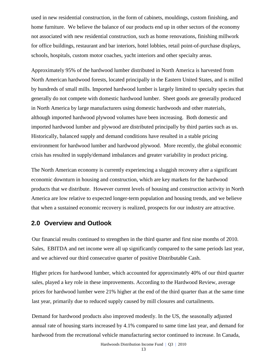used in new residential construction, in the form of cabinets, mouldings, custom finishing, and home furniture. We believe the balance of our products end up in other sectors of the economy not associated with new residential construction, such as home renovations, finishing millwork for office buildings, restaurant and bar interiors, hotel lobbies, retail point-of-purchase displays, schools, hospitals, custom motor coaches, yacht interiors and other specialty areas.

Approximately 95% of the hardwood lumber distributed in North America is harvested from North American hardwood forests, located principally in the Eastern United States, and is milled by hundreds of small mills. Imported hardwood lumber is largely limited to specialty species that generally do not compete with domestic hardwood lumber. Sheet goods are generally produced in North America by large manufacturers using domestic hardwoods and other materials, although imported hardwood plywood volumes have been increasing. Both domestic and imported hardwood lumber and plywood are distributed principally by third parties such as us. Historically, balanced supply and demand conditions have resulted in a stable pricing environment for hardwood lumber and hardwood plywood. More recently, the global economic crisis has resulted in supply/demand imbalances and greater variability in product pricing.

The North American economy is currently experiencing a sluggish recovery after a significant economic downturn in housing and construction, which are key markets for the hardwood products that we distribute. However current levels of housing and construction activity in North America are low relative to expected longer-term population and housing trends, and we believe that when a sustained economic recovery is realized, prospects for our industry are attractive.

### **2.0 Overview and Outlook**

Our financial results continued to strengthen in the third quarter and first nine months of 2010. Sales, EBITDA and net income were all up significantly compared to the same periods last year, and we achieved our third consecutive quarter of positive Distributable Cash.

Higher prices for hardwood lumber, which accounted for approximately 40% of our third quarter sales, played a key role in these improvements. According to the Hardwood Review, average prices for hardwood lumber were 21% higher at the end of the third quarter than at the same time last year, primarily due to reduced supply caused by mill closures and curtailments.

Demand for hardwood products also improved modestly. In the US, the seasonally adjusted annual rate of housing starts increased by 4.1% compared to same time last year, and demand for hardwood from the recreational vehicle manufacturing sector continued to increase. In Canada,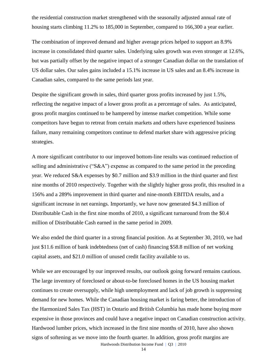the residential construction market strengthened with the seasonally adjusted annual rate of housing starts climbing 11.2% to 185,000 in September, compared to 166,300 a year earlier.

The combination of improved demand and higher average prices helped to support an 8.9% increase in consolidated third quarter sales. Underlying sales growth was even stronger at 12.6%, but was partially offset by the negative impact of a stronger Canadian dollar on the translation of US dollar sales. Our sales gains included a 15.1% increase in US sales and an 8.4% increase in Canadian sales, compared to the same periods last year.

Despite the significant growth in sales, third quarter gross profits increased by just 1.5%, reflecting the negative impact of a lower gross profit as a percentage of sales. As anticipated, gross profit margins continued to be hampered by intense market competition. While some competitors have begun to retreat from certain markets and others have experienced business failure, many remaining competitors continue to defend market share with aggressive pricing strategies.

A more significant contributor to our improved bottom-line results was continued reduction of selling and administrative ("S&A") expense as compared to the same period in the preceding year. We reduced S&A expenses by \$0.7 million and \$3.9 million in the third quarter and first nine months of 2010 respectively. Together with the slightly higher gross profit, this resulted in a 156% and a 289% improvement in third quarter and nine-month EBITDA results, and a significant increase in net earnings. Importantly, we have now generated \$4.3 million of Distributable Cash in the first nine months of 2010, a significant turnaround from the \$0.4 million of Distributable Cash earned in the same period in 2009.

We also ended the third quarter in a strong financial position. As at September 30, 2010, we had just \$11.6 million of bank indebtedness (net of cash) financing \$58.8 million of net working capital assets, and \$21.0 million of unused credit facility available to us.

Hardwoods Distribution Income Fund | Q3 | 2010 While we are encouraged by our improved results, our outlook going forward remains cautious. The large inventory of foreclosed or about-to-be foreclosed homes in the US housing market continues to create oversupply, while high unemployment and lack of job growth is suppressing demand for new homes. While the Canadian housing market is faring better, the introduction of the Harmonized Sales Tax (HST) in Ontario and British Columbia has made home buying more expensive in those provinces and could have a negative impact on Canadian construction activity. Hardwood lumber prices, which increased in the first nine months of 2010, have also shown signs of softening as we move into the fourth quarter. In addition, gross profit margins are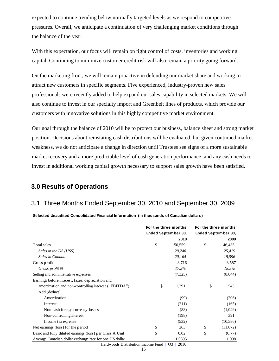expected to continue trending below normally targeted levels as we respond to competitive pressures. Overall, we anticipate a continuation of very challenging market conditions through the balance of the year.

With this expectation, our focus will remain on tight control of costs, inventories and working capital. Continuing to minimize customer credit risk will also remain a priority going forward.

On the marketing front, we will remain proactive in defending our market share and working to attract new customers in specific segments. Five experienced, industry-proven new sales professionals were recently added to help expand our sales capability in selected markets. We will also continue to invest in our specialty import and Greenbelt lines of products, which provide our customers with innovative solutions in this highly competitive market environment.

Our goal through the balance of 2010 will be to protect our business, balance sheet and strong market position. Decisions about reinstating cash distributions will be evaluated, but given continued market weakness, we do not anticipate a change in direction until Trustees see signs of a more sustainable market recovery and a more predictable level of cash generation performance, and any cash needs to invest in additional working capital growth necessary to support sales growth have been satisfied.

## **3.0 Results of Operations**

### 3.1 Three Months Ended September 30, 2010 and September 30, 2009

**Selected Unaudited Consolidated Financial Information (in thousands of Canadian dollars)**

|                                                                                            | For the three months       |          | For the three months |                     |
|--------------------------------------------------------------------------------------------|----------------------------|----------|----------------------|---------------------|
|                                                                                            | <b>Ended September 30,</b> |          |                      | Ended September 30, |
|                                                                                            |                            | 2010     |                      | 2009                |
| Total sales                                                                                | \$                         | 50,559   | \$                   | 46,435              |
| Sales in the US (US\$)                                                                     |                            | 29,246   |                      | 25,419              |
| Sales in Canada                                                                            |                            | 20,164   |                      | 18,596              |
| Gross profit                                                                               |                            | 8,716    |                      | 8,587               |
| Gross profit %                                                                             |                            | 17.2%    |                      | 18.5%               |
| Selling and administrative expenses                                                        |                            | (7, 325) |                      | (8,044)             |
| Earnings before interest, taxes, depreciation and                                          |                            |          |                      |                     |
| amortization and non-controlling interest ("EBITDA")                                       | \$                         | 1,391    | \$                   | 543                 |
| Add (deduct):                                                                              |                            |          |                      |                     |
| Amortization                                                                               |                            | (99)     |                      | (206)               |
| Interest                                                                                   |                            | (211)    |                      | (165)               |
| Non-cash foreign currency losses                                                           |                            | (88)     |                      | (1,049)             |
| Non-controlling interest                                                                   |                            | (198)    |                      | 391                 |
| Income tax expense                                                                         |                            | (532)    |                      | (10, 586)           |
| Net earnings (loss) for the period                                                         | \$                         | 263      | \$                   | (11,072)            |
| Basic and fully diluted earnings (loss) per Class A Unit                                   | \$                         | 0.02     | \$                   | (0.77)              |
| Average Canadian dollar exchange rate for one US dollar                                    |                            | 1.0395   |                      | 1.098               |
| $\mathbf{H} = \mathbf{I} - \mathbf{I} + \mathbf{I} + \mathbf{I} + \mathbf{I} + \mathbf{I}$ |                            |          |                      |                     |

Hardwoods Distribution Income Fund | Q3 | 2010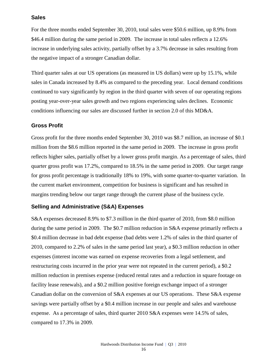### **Sales**

For the three months ended September 30, 2010, total sales were \$50.6 million, up 8.9% from \$46.4 million during the same period in 2009. The increase in total sales reflects a 12.6% increase in underlying sales activity, partially offset by a 3.7% decrease in sales resulting from the negative impact of a stronger Canadian dollar.

Third quarter sales at our US operations (as measured in US dollars) were up by 15.1%, while sales in Canada increased by 8.4% as compared to the preceding year. Local demand conditions continued to vary significantly by region in the third quarter with seven of our operating regions posting year-over-year sales growth and two regions experiencing sales declines. Economic conditions influencing our sales are discussed further in section 2.0 of this MD&A.

### **Gross Profit**

Gross profit for the three months ended September 30, 2010 was \$8.7 million, an increase of \$0.1 million from the \$8.6 million reported in the same period in 2009. The increase in gross profit reflects higher sales, partially offset by a lower gross profit margin. As a percentage of sales, third quarter gross profit was 17.2%, compared to 18.5% in the same period in 2009. Our target range for gross profit percentage is traditionally 18% to 19%, with some quarter-to-quarter variation. In the current market environment, competition for business is significant and has resulted in margins trending below our target range through the current phase of the business cycle.

### **Selling and Administrative (S&A) Expenses**

S&A expenses decreased 8.9% to \$7.3 million in the third quarter of 2010, from \$8.0 million during the same period in 2009. The \$0.7 million reduction in S&A expense primarily reflects a \$0.4 million decrease in bad debt expense (bad debts were 1.2% of sales in the third quarter of 2010, compared to 2.2% of sales in the same period last year), a \$0.3 million reduction in other expenses (interest income was earned on expense recoveries from a legal settlement, and restructuring costs incurred in the prior year were not repeated in the current period), a \$0.2 million reduction in premises expense (reduced rental rates and a reduction in square footage on facility lease renewals), and a \$0.2 million positive foreign exchange impact of a stronger Canadian dollar on the conversion of S&A expenses at our US operations. These S&A expense savings were partially offset by a \$0.4 million increase in our people and sales and warehouse expense. As a percentage of sales, third quarter 2010 S&A expenses were 14.5% of sales, compared to 17.3% in 2009.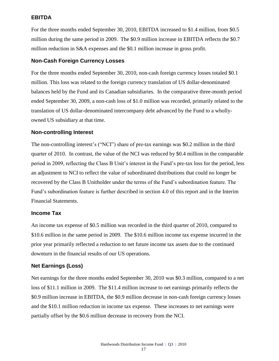### **EBITDA**

For the three months ended September 30, 2010, EBITDA increased to \$1.4 million, from \$0.5 million during the same period in 2009. The \$0.9 million increase in EBITDA reflects the \$0.7 million reduction in S&A expenses and the \$0.1 million increase in gross profit.

### **Non-Cash Foreign Currency Losses**

For the three months ended September 30, 2010, non-cash foreign currency losses totaled \$0.1 million. This loss was related to the foreign currency translation of US dollar-denominated balances held by the Fund and its Canadian subsidiaries. In the comparative three-month period ended September 30, 2009, a non-cash loss of \$1.0 million was recorded, primarily related to the translation of US dollar-denominated intercompany debt advanced by the Fund to a whollyowned US subsidiary at that time.

### **Non-controlling Interest**

The non-controlling interest's ("NCI") share of pre-tax earnings was \$0.2 million in the third quarter of 2010. In contrast, the value of the NCI was reduced by \$0.4 million in the comparable period in 2009, reflecting the Class B Unit's interest in the Fund's pre-tax loss for the period, less an adjustment to NCI to reflect the value of subordinated distributions that could no longer be recovered by the Class B Unitholder under the terms of the Fund's subordination feature. The Fund's subordination feature is further described in section 4.0 of this report and in the Interim Financial Statements.

### **Income Tax**

An income tax expense of \$0.5 million was recorded in the third quarter of 2010, compared to \$10.6 million in the same period in 2009. The \$10.6 million income tax expense incurred in the prior year primarily reflected a reduction to net future income tax assets due to the continued downturn in the financial results of our US operations.

### **Net Earnings (Loss)**

Net earnings for the three months ended September 30, 2010 was \$0.3 million, compared to a net loss of \$11.1 million in 2009. The \$11.4 million increase to net earnings primarily reflects the \$0.9 million increase in EBITDA, the \$0.9 million decrease in non-cash foreign currency losses and the \$10.1 million reduction in income tax expense. These increases to net earnings were partially offset by the \$0.6 million decrease in recovery from the NCI.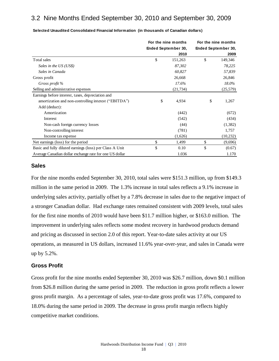## 3.2 Nine Months Ended September 30, 2010 and September 30, 2009

|                                                          | For the nine months        |           | For the nine months |                     |  |
|----------------------------------------------------------|----------------------------|-----------|---------------------|---------------------|--|
|                                                          | <b>Ended September 30,</b> |           |                     | Ended September 30, |  |
|                                                          |                            | 2010      |                     | 2009                |  |
| Total sales                                              | \$                         | 151,263   | \$                  | 149,346             |  |
| Sales in the US (US\$)                                   |                            | 87,302    |                     | 78,225              |  |
| Sales in Canada                                          |                            | 60,827    |                     | 57,839              |  |
| Gross profit                                             |                            | 26,668    |                     | 26,846              |  |
| Gross profit %                                           |                            | 17.6%     |                     | 18.0%               |  |
| Selling and administrative expenses                      |                            | (21, 734) |                     | (25, 579)           |  |
| Earnings before interest, taxes, depreciation and        |                            |           |                     |                     |  |
| amortization and non-controlling interest ("EBITDA")     | \$                         | 4,934     | \$                  | 1,267               |  |
| Add (deduct):                                            |                            |           |                     |                     |  |
| Amortization                                             |                            | (442)     |                     | (672)               |  |
| Interest                                                 |                            | (542)     |                     | (434)               |  |
| Non-cash foreign currency losses                         |                            | (44)      |                     | (1,382)             |  |
| Non-controlling interest                                 |                            | (781)     |                     | 1,757               |  |
| Income tax expense                                       |                            | (1,626)   |                     | (10, 232)           |  |
| Net earnings (loss) for the period                       | \$                         | 1,499     | \$                  | (9,696)             |  |
| Basic and fully diluted earnings (loss) per Class A Unit | \$                         | 0.10      | \$                  | (0.67)              |  |
| Average Canadian dollar exchange rate for one US dollar  |                            | 1.036     |                     | 1.170               |  |

**Selected Unaudited Consolidated Financial Information (in thousands of Canadian dollars)**

### **Sales**

For the nine months ended September 30, 2010, total sales were \$151.3 million, up from \$149.3 million in the same period in 2009. The 1.3% increase in total sales reflects a 9.1% increase in underlying sales activity, partially offset by a 7.8% decrease in sales due to the negative impact of a stronger Canadian dollar. Had exchange rates remained consistent with 2009 levels, total sales for the first nine months of 2010 would have been \$11.7 million higher, or \$163.0 million. The improvement in underlying sales reflects some modest recovery in hardwood products demand and pricing as discussed in section 2.0 of this report. Year-to-date sales activity at our US operations, as measured in US dollars, increased 11.6% year-over-year, and sales in Canada were up by 5.2%.

### **Gross Profit**

Gross profit for the nine months ended September 30, 2010 was \$26.7 million, down \$0.1 million from \$26.8 million during the same period in 2009. The reduction in gross profit reflects a lower gross profit margin. As a percentage of sales, year-to-date gross profit was 17.6%, compared to 18.0% during the same period in 2009. The decrease in gross profit margin reflects highly competitive market conditions.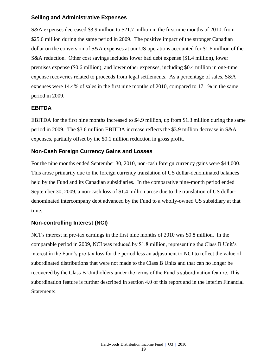### **Selling and Administrative Expenses**

S&A expenses decreased \$3.9 million to \$21.7 million in the first nine months of 2010, from \$25.6 million during the same period in 2009. The positive impact of the stronger Canadian dollar on the conversion of S&A expenses at our US operations accounted for \$1.6 million of the S&A reduction. Other cost savings includes lower bad debt expense (\$1.4 million), lower premises expense (\$0.6 million), and lower other expenses, including \$0.4 million in one-time expense recoveries related to proceeds from legal settlements. As a percentage of sales, S&A expenses were 14.4% of sales in the first nine months of 2010, compared to 17.1% in the same period in 2009.

### **EBITDA**

EBITDA for the first nine months increased to \$4.9 million, up from \$1.3 million during the same period in 2009. The \$3.6 million EBITDA increase reflects the \$3.9 million decrease in S&A expenses, partially offset by the \$0.1 million reduction in gross profit.

### **Non-Cash Foreign Currency Gains and Losses**

For the nine months ended September 30, 2010, non-cash foreign currency gains were \$44,000. This arose primarily due to the foreign currency translation of US dollar-denominated balances held by the Fund and its Canadian subsidiaries. In the comparative nine-month period ended September 30, 2009, a non-cash loss of \$1.4 million arose due to the translation of US dollardenominated intercompany debt advanced by the Fund to a wholly-owned US subsidiary at that time.

### **Non-controlling Interest (NCI)**

NCI's interest in pre-tax earnings in the first nine months of 2010 was \$0.8 million. In the comparable period in 2009, NCI was reduced by \$1.8 million, representing the Class B Unit's interest in the Fund's pre-tax loss for the period less an adjustment to NCI to reflect the value of subordinated distributions that were not made to the Class B Units and that can no longer be recovered by the Class B Unitholders under the terms of the Fund's subordination feature. This subordination feature is further described in section 4.0 of this report and in the Interim Financial Statements.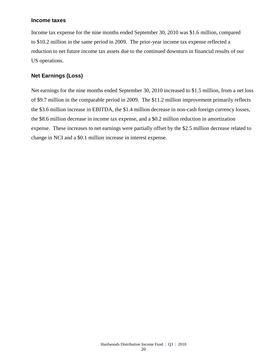### **Income taxes**

Income tax expense for the nine months ended September 30, 2010 was \$1.6 million, compared to \$10.2 million in the same period in 2009. The prior-year income tax expense reflected a reduction to net future income tax assets due to the continued downturn in financial results of our US operations.

### **Net Earnings (Loss)**

Net earnings for the nine months ended September 30, 2010 increased to \$1.5 million, from a net loss of \$9.7 million in the comparable period in 2009. The \$11.2 million improvement primarily reflects the \$3.6 million increase in EBITDA, the \$1.4 million decrease in non-cash foreign currency losses, the \$8.6 million decrease in income tax expense, and a \$0.2 million reduction in amortization expense. These increases to net earnings were partially offset by the \$2.5 million decrease related to change in NCI and a \$0.1 million increase in interest expense.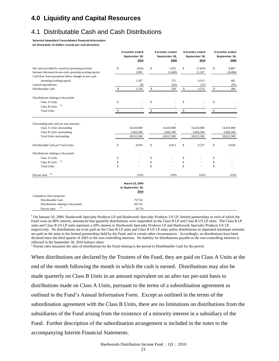## **4.0 Liquidity and Capital Resources**

## 4.1 Distributable Cash and Cash Distributions

#### **Selected Unaudited Consolidated Financial Information**

**(in thousands of dollars except per unit amounts)**

|                                                                                                                                     |              | 3 months ended<br>September 30,<br>2010 |              | 3 months ended<br>September 30,<br>2009 |             | 9 months ended<br>September 30,<br>2010 |              | 9 months ended<br>September 30,<br>2009 |
|-------------------------------------------------------------------------------------------------------------------------------------|--------------|-----------------------------------------|--------------|-----------------------------------------|-------------|-----------------------------------------|--------------|-----------------------------------------|
| Net cash provided by (used in) operating activities                                                                                 | \$           | (626)                                   | \$           | 1,955                                   | \$          | (7, 854)                                | \$           | 8,867                                   |
| Increase (decrease) in non-cash operating working capital                                                                           |              | 1,893                                   |              | (1,680)                                 |             | 12,167                                  |              | (8, 406)                                |
| Cash flow from operations before changes in non-cash                                                                                |              |                                         |              |                                         |             |                                         |              |                                         |
| operating working capital                                                                                                           |              | 1,267                                   |              | 275                                     |             | 4,313                                   |              | 461                                     |
| Capital expenditures                                                                                                                |              | (8)                                     |              | (45)                                    |             | (37)                                    |              | (95)                                    |
| Distributable Cash                                                                                                                  | $\mathbb{S}$ | 1,259                                   | $\mathbb{S}$ | 230                                     | \$          | 4,276                                   | $\mathbb{S}$ | 366                                     |
| Distributions relating to the period:                                                                                               |              |                                         |              |                                         |             |                                         |              |                                         |
| Class A Units                                                                                                                       | \$           |                                         | \$           |                                         | \$          |                                         | \$           |                                         |
| (1)<br>Class B Units                                                                                                                |              |                                         |              |                                         |             |                                         |              |                                         |
| <b>Total Units</b>                                                                                                                  | \$           |                                         | \$           |                                         | \$          |                                         | \$           |                                         |
| Outstanding units and per unit amounts:<br>Class A Units outstanding<br>Class B Units outstanding<br><b>Total Units outstanding</b> |              | 14,410,000<br>3,602,500<br>18,012,500   |              | 14,410,000<br>3,602,500<br>18,012,500   |             | 14,410,000<br>3,602,500<br>18,012,500   |              | 14,410,000<br>3,602,500<br>18,012,500   |
| Distributable Cash per Total Units                                                                                                  | \$           | 0.070                                   | \$           | 0.013                                   | \$          | 0.237                                   | \$           | 0.020                                   |
| Distributions relating to the period:                                                                                               |              |                                         |              |                                         |             |                                         |              |                                         |
| Class A Units                                                                                                                       | \$           |                                         | \$           |                                         | \$          |                                         | \$           |                                         |
| (1)<br>Class B Units                                                                                                                | \$           |                                         | \$           |                                         | \$          |                                         | \$           |                                         |
| <b>Total Units</b>                                                                                                                  | \$           |                                         | $\mathbf S$  |                                         | $\mathbf S$ |                                         | \$           |                                         |
| (2)<br>Payout ratio                                                                                                                 |              | 0.0%                                    |              | 0.0%                                    |             | 0.0%                                    |              | 0.0%                                    |
|                                                                                                                                     |              | March 23, 2004                          |              |                                         |             |                                         |              |                                         |
|                                                                                                                                     |              | to September 30,                        |              |                                         |             |                                         |              |                                         |
|                                                                                                                                     |              | 2010                                    |              |                                         |             |                                         |              |                                         |
| Cumulative since inception:                                                                                                         |              |                                         |              |                                         |             |                                         |              |                                         |
| Distributable Cash                                                                                                                  |              | 79,754                                  |              |                                         |             |                                         |              |                                         |
| Distributions relating to the period                                                                                                |              | 66,754                                  |              |                                         |             |                                         |              |                                         |
| (2)<br>Payout ratio                                                                                                                 |              | 83.7%                                   |              |                                         |             |                                         |              |                                         |

**<sup>1</sup>** On January 10, 2006, Hardwoods Specialty Products LP and Hardwoods Specialty Products US LP, limited partnerships in each of which the Fund owns an 80% interest, announced that quarterly distributions were suspended on the Class B LP and Class B US LP units. The Class B LP units and Class B US LP units represent a 20% interest in Hardwoods Specialty Products LP and Hardwoods Specialty Products US LP, respectively. No distributions are to be paid on the Class B LP units and Class B US LP units unless distributions in stipulated minimum amounts are paid on the units in the limited partnerships held by the Fund, and in certain other circumstances. Accordingly, no distributions have been declared since the third quarter of 2005 to the non-controlling interests. No liability for distributions payable to the non-controlling interests is reflected in the September 30, 2010 balance sheet.

<sup>2</sup> Payout ratio measures the ratio of distributions by the Fund relating to the period to Distributable Cash for the period.

When distributions are declared by the Trustees of the Fund, they are paid on Class A Units at the end of the month following the month in which the cash is earned. Distributions may also be made quarterly on Class B Units in an amount equivalent on an after-tax per-unit basis to distributions made on Class A Units, pursuant to the terms of a subordination agreement as outlined in the Fund's Annual Information Form. Except as outlined in the terms of the subordination agreement with the Class B Units, there are no limitations on distributions from the subsidiaries of the Fund arising from the existence of a minority interest in a subsidiary of the Fund. Further description of the subordination arrangement is included in the notes to the accompanying Interim Financial Statements.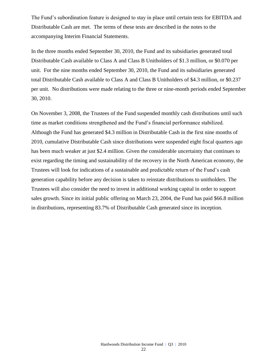The Fund's subordination feature is designed to stay in place until certain tests for EBITDA and Distributable Cash are met. The terms of these tests are described in the notes to the accompanying Interim Financial Statements.

In the three months ended September 30, 2010, the Fund and its subsidiaries generated total Distributable Cash available to Class A and Class B Unitholders of \$1.3 million, or \$0.070 per unit. For the nine months ended September 30, 2010, the Fund and its subsidiaries generated total Distributable Cash available to Class A and Class B Unitholders of \$4.3 million, or \$0.237 per unit. No distributions were made relating to the three or nine-month periods ended September 30, 2010.

On November 3, 2008, the Trustees of the Fund suspended monthly cash distributions until such time as market conditions strengthened and the Fund's financial performance stabilized. Although the Fund has generated \$4.3 million in Distributable Cash in the first nine months of 2010, cumulative Distributable Cash since distributions were suspended eight fiscal quarters ago has been much weaker at just \$2.4 million. Given the considerable uncertainty that continues to exist regarding the timing and sustainability of the recovery in the North American economy, the Trustees will look for indications of a sustainable and predictable return of the Fund's cash generation capability before any decision is taken to reinstate distributions to unitholders. The Trustees will also consider the need to invest in additional working capital in order to support sales growth. Since its initial public offering on March 23, 2004, the Fund has paid \$66.8 million in distributions, representing 83.7% of Distributable Cash generated since its inception.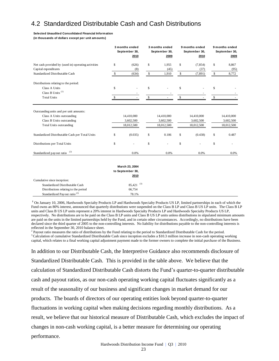## 4.2 Standardized Distributable Cash and Cash Distributions

#### **Selected Unaudited Consolidated Financial Information**

**(in thousands of dollars except per unit amounts)**

|                                                     |               | 3 months ended<br>September 30,<br>2010 | 3 months ended<br>September 30,<br>2009 | 9 months ended<br>September 30,<br>2010 |    | 9 months ended<br>September 30,<br>2009 |
|-----------------------------------------------------|---------------|-----------------------------------------|-----------------------------------------|-----------------------------------------|----|-----------------------------------------|
| Net cash provided by (used in) operating activities | \$            | (626)                                   | \$<br>1,955                             | \$<br>(7, 854)                          | \$ | 8,867                                   |
| Capital expenditures                                |               | (8)                                     | (45)                                    | (37)                                    |    | (95)                                    |
| Standardized Distributable Cash                     | \$.           | (634)                                   | \$<br>1,910                             | \$<br>(7, 891)                          | \$ | 8,772                                   |
| Distributions relating to the period:               |               |                                         |                                         |                                         |    |                                         |
| Class A Units                                       | \$            |                                         | \$                                      | \$                                      | \$ |                                         |
| Class B Units <sup>(1)</sup>                        |               |                                         |                                         |                                         |    |                                         |
| <b>Total Units</b>                                  | $\mathcal{S}$ |                                         | \$                                      | \$                                      | S  |                                         |
| Outstanding units and per unit amounts:             |               |                                         |                                         |                                         |    |                                         |
| Class A Units outstanding                           |               | 14,410,000                              | 14,410,000                              | 14,410,000                              |    | 14,410,000                              |
| Class B Units outstanding                           |               | 3,602,500                               | 3,602,500                               | 3,602,500                               |    | 3,602,500                               |
| <b>Total Units outstanding</b>                      |               | 18,012,500                              | 18,012,500                              | 18,012,500                              |    | 18,012,500                              |
| Standardized Distributable Cash per Total Units     | \$            | (0.035)                                 | \$<br>0.106                             | \$<br>(0.438)                           | \$ | 0.487                                   |
| Distributions per Total Units                       | \$            |                                         | \$                                      | \$                                      | \$ |                                         |
| (2)<br>Standardized payout ratio                    |               | 0.0%                                    | 0.0%                                    | 0.0%                                    |    | 0.0%                                    |
|                                                     |               |                                         |                                         |                                         |    |                                         |

|                                          | March 23, 2004          |  |
|------------------------------------------|-------------------------|--|
|                                          | to September 30,        |  |
|                                          | 2010                    |  |
| Cumulative since inception:              |                         |  |
| Standardized Distributable Cash          | $85.421$ <sup>(3)</sup> |  |
| Distributions relating to the period     | 66,754                  |  |
| Standardized Payout ratio <sup>(2)</sup> | 78.1%                   |  |

**<sup>1</sup>** On January 10, 2006, Hardwoods Specialty Products LP and Hardwoods Specialty Products US LP, limited partnerships in each of which the Fund owns an 80% interest, announced that quarterly distributions were suspended on the Class B LP and Class B US LP units. The Class B LP units and Class B US LP units represent a 20% interest in Hardwoods Specialty Products LP and Hardwoods Specialty Products US LP, respectively. No distributions are to be paid on the Class B LP units and Class B US LP units unless distributions in stipulated minimum amounts are paid on the units in the limited partnerships held by the Fund, and in certain other circumstances. Accordingly, no distributions have been declared since the third quarter of 2005 to the non-controlling interests. No liability for distributions payable to the non-controlling interests is reflected in the September 30, 2010 balance sheet.

<sup>2</sup> Payout ratio measures the ratio of distributions by the Fund relating to the period to Standardized Distributable Cash for the period.  $3$  Calculation of cumulative Standardized Distributable Cash since inception excludes a \$10.3 million increase in non-cash operating working capital, which relates to a final working capital adjustment payment made to the former owners to complete the initial purchase of the Business.

In addition to our Distributable Cash, the Interpretive Guidance also recommends disclosure of Standardized Distributable Cash. This is provided in the table above. We believe that the calculation of Standardized Distributable Cash distorts the Fund's quarter-to-quarter distributable cash and payout ratios, as our non-cash operating working capital fluctuates significantly as a result of the seasonality of our business and significant changes in market demand for our products. The boards of directors of our operating entities look beyond quarter-to-quarter fluctuations in working capital when making decisions regarding monthly distributions. As a result, we believe that our historical measure of Distributable Cash, which excludes the impact of changes in non-cash working capital, is a better measure for determining our operating performance.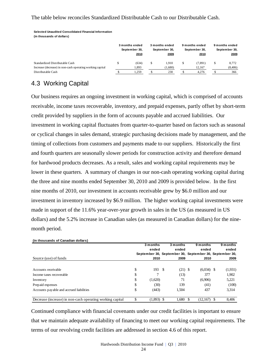### The table below reconciles Standardized Distributable Cash to our Distributable Cash.

**(in thousands of dollars)**

|                                                           | 3 months ended<br>September 30,<br>2010 | 3 months ended<br>September 30,<br>2009 | 9 months ended<br>September 30,<br>2010 | 9 months ended<br>September 30,<br>2009 |
|-----------------------------------------------------------|-----------------------------------------|-----------------------------------------|-----------------------------------------|-----------------------------------------|
| Standardized Distributable Cash                           | (634)                                   | .910                                    | (7, 891)                                | \$<br>8.772                             |
| Increase (decrease) in non-cash operating working capital | 1,893                                   | (1,680)                                 | 12.167                                  | (8,406)                                 |
| Distributable Cash                                        | 1.259                                   | 230                                     | 4.276                                   | 366                                     |

## 4.3 Working Capital

**(in thousands of Canadian dollars)**

Our business requires an ongoing investment in working capital, which is comprised of accounts receivable, income taxes recoverable, inventory, and prepaid expenses, partly offset by short-term credit provided by suppliers in the form of accounts payable and accrued liabilities. Our investment in working capital fluctuates from quarter-to-quarter based on factors such as seasonal or cyclical changes in sales demand, strategic purchasing decisions made by management, and the timing of collections from customers and payments made to our suppliers. Historically the first and fourth quarters are seasonally slower periods for construction activity and therefore demand for hardwood products decreases. As a result, sales and working capital requirements may be lower in these quarters. A summary of changes in our non-cash operating working capital during the three and nine months ended September 30, 2010 and 2009 is provided below. In the first nine months of 2010, our investment in accounts receivable grew by \$6.0 million and our investment in inventory increased by \$6.9 million. The higher working capital investments were made in support of the 11.6% year-over-year growth in sales in the US (as measured in US dollars) and the 5.2% increase in Canadian sales (as measured in Canadian dollars) for the ninemonth period. Steed Vandial Considered Features vections of our revolving credit facilities in the section of the section 4.6 of this report.<br>
Memorian of our revolving Capital and a section of the section  $\frac{1}{2}$  and  $\frac{1}{2}$  and

|                                                           | 3 months<br>ended  | 3 months<br>ended                                       | 9 months<br>ended |      | 9 months<br>ended |
|-----------------------------------------------------------|--------------------|---------------------------------------------------------|-------------------|------|-------------------|
|                                                           |                    | September 30, September 30, September 30, September 30, |                   |      |                   |
| Source (use) of funds                                     | 2010               | 2009                                                    | 2010              |      | 2009              |
|                                                           |                    |                                                         |                   |      |                   |
| Accounts receivable                                       | \$<br>193S         | $(21)$ \$                                               | $(6,034)$ \$      |      | (1,931)           |
| Income taxes recoverable                                  | \$                 | (13)                                                    | 377               |      | 1,902             |
| Inventory                                                 | \$<br>(1,620)      | 71                                                      | (6,906)           |      | 5,221             |
| Prepaid expenses                                          | \$<br>(30)         | 139                                                     | (41)              |      | (100)             |
| Accounts payable and accrued liabilities                  | \$<br>(443)        | 1.504                                                   | 437               |      | 3,314             |
| Decrease (increase) in non-cash operating working capital | \$<br>$(1,893)$ \$ | 1.680                                                   | (12,167)<br>\$.   | - \$ | 8,406             |

Continued compliance with financial covenants under our credit facilities is important to ensure that we maintain adequate availability of financing to meet our working capital requirements. The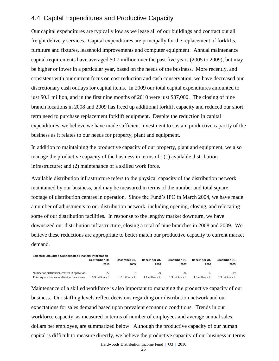### 4.4 Capital Expenditures and Productive Capacity

Our capital expenditures are typically low as we lease all of our buildings and contract out all freight delivery services. Capital expenditures are principally for the replacement of forklifts, furniture and fixtures, leasehold improvements and computer equipment. Annual maintenance capital requirements have averaged \$0.7 million over the past five years (2005 to 2009), but may be higher or lower in a particular year, based on the needs of the business. More recently, and consistent with our current focus on cost reduction and cash conservation, we have decreased our discretionary cash outlays for capital items. In 2009 our total capital expenditures amounted to just \$0.1 million, and in the first nine months of 2010 were just \$37,000. The closing of nine branch locations in 2008 and 2009 has freed up additional forklift capacity and reduced our short term need to purchase replacement forklift equipment. Despite the reduction in capital expenditures, we believe we have made sufficient investment to sustain productive capacity of the business as it relates to our needs for property, plant and equipment.

In addition to maintaining the productive capacity of our property, plant and equipment, we also manage the productive capacity of the business in terms of: (1) available distribution infrastructure; and (2) maintenance of a skilled work force.

Available distribution infrastructure refers to the physical capacity of the distribution network maintained by our business, and may be measured in terms of the number and total square footage of distribution centres in operation. Since the Fund's IPO in March 2004, we have made a number of adjustments to our distribution network, including opening, closing, and relocating some of our distribution facilities. In response to the lengthy market downturn, we have downsized our distribution infrastructure, closing a total of nine branches in 2008 and 2009. We believe these reductions are appropriate to better match our productive capacity to current market demand.

| Selected Unaudited Consolidated Financial Information |                       |                      |                      |                      |                      |                      |  |  |  |  |
|-------------------------------------------------------|-----------------------|----------------------|----------------------|----------------------|----------------------|----------------------|--|--|--|--|
|                                                       | September 30.<br>2010 | December 31.<br>2009 | December 31.<br>2008 | December 31.<br>2007 | December 31.<br>2006 | December 31.<br>2005 |  |  |  |  |
| Number of distribution centres in operation           |                       |                      | 29                   | 36                   | 36                   | 39                   |  |  |  |  |
| Total square footage of distribution centres          | 0.9 million s.f.      | 1.0 million s.f.     | million s.f.         | 1.3 million s.f.     | .3 million s.f.      | 3 million s.f.       |  |  |  |  |

Maintenance of a skilled workforce is also important to managing the productive capacity of our business. Our staffing levels reflect decisions regarding our distribution network and our expectations for sales demand based upon prevalent economic conditions. Trends in our workforce capacity, as measured in terms of number of employees and average annual sales dollars per employee, are summarized below. Although the productive capacity of our human capital is difficult to measure directly, we believe the productive capacity of our business in terms

Hardwoods Distribution Income Fund | Q3 | 2010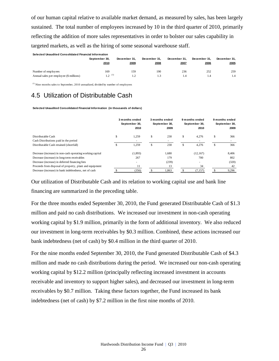of our human capital relative to available market demand, as measured by sales, has been largely sustained. The total number of employees increased by 10 in the third quarter of 2010, primarily reflecting the addition of more sales representatives in order to bolster our sales capability in targeted markets, as well as the hiring of some seasonal warehouse staff.

| Selected Unaudited Consolidated Financial Information |                       |                      |                      |                      |                      |                      |
|-------------------------------------------------------|-----------------------|----------------------|----------------------|----------------------|----------------------|----------------------|
|                                                       | September 30.<br>2010 | December 31.<br>2009 | December 31.<br>2008 | December 31.<br>2007 | December 31.<br>2006 | December 31.<br>2005 |
| Number of employees                                   | 169                   | 159                  | 190                  | 236                  | 252                  | 259                  |
| Annual sales per employee (\$ millions)               | 1 2 $(1)$             |                      | 1.3                  |                      |                      | 1.4                  |

(1) Nine months sales to September, 2010 annualized, divided by number of employees

## 4.5 Utilization of Distributable Cash

**Selected Unaudited Consolidated Financial Information (in thousands of dollars)**

|                                                           | 3 months ended<br>September 30,<br>2010 |    | 3 months ended<br>September 30,<br>2009 | 9 months ended<br>September 30,<br>2010 |    | 9 months ended<br>September 30,<br>2009 |
|-----------------------------------------------------------|-----------------------------------------|----|-----------------------------------------|-----------------------------------------|----|-----------------------------------------|
| Distributable Cash                                        | \$<br>1,259                             | S  | 230                                     | \$<br>4,276                             | \$ | 366                                     |
| Cash Distributions paid in the period                     |                                         |    |                                         |                                         |    |                                         |
| Distributable Cash retained (shortfall)                   | 1.259                                   | £. | 230                                     | \$<br>4.276                             | £. | 366                                     |
| Decrease (increase) in non-cash operating working capital | (1,893)                                 |    | 1.680                                   | (12, 167)                               |    | 8,406                                   |
| Decrease (increase) in long-term receivables              | 267                                     |    | 179                                     | 700                                     |    | 802                                     |
| Decrease (increase) in deferred financing fees            | ۰                                       |    | (239)                                   | $\sim$                                  |    | (320)                                   |
| Proceeds from disposal of property, plant and equipment   | 11                                      |    | 13                                      | 34                                      |    | 42                                      |
| Decrease (increase) in bank indebtedness, net of cash     | (356)                                   |    | 1,863                                   | (7, 157)                                |    | 9,296                                   |

Our utilization of Distributable Cash and its relation to working capital use and bank line financing are summarized in the preceding table.

For the three months ended September 30, 2010, the Fund generated Distributable Cash of \$1.3 million and paid no cash distributions. We increased our investment in non-cash operating working capital by \$1.9 million, primarily in the form of additional inventory. We also reduced our investment in long-term receivables by \$0.3 million. Combined, these actions increased our bank indebtedness (net of cash) by \$0.4 million in the third quarter of 2010.

For the nine months ended September 30, 2010, the Fund generated Distributable Cash of \$4.3 million and made no cash distributions during the period. We increased our non-cash operating working capital by \$12.2 million (principally reflecting increased investment in accounts receivable and inventory to support higher sales), and decreased our investment in long-term receivables by \$0.7 million. Taking these factors together, the Fund increased its bank indebtedness (net of cash) by \$7.2 million in the first nine months of 2010.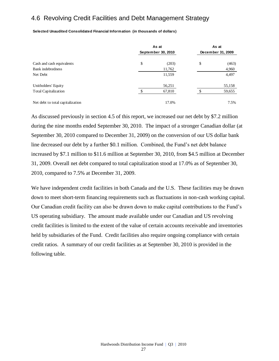## 4.6 Revolving Credit Facilities and Debt Management Strategy

**Selected Unaudited Consolidated Financial Information (in thousands of dollars)**

|                                  | As at              |    | As at             |
|----------------------------------|--------------------|----|-------------------|
|                                  | September 30, 2010 |    | December 31, 2009 |
| Cash and cash equivalents        | \$<br>(203)        | \$ | (463)             |
| Bank indebtedness                | 11,762             |    | 4,960             |
| Net Debt                         | 11,559             |    | 4,497             |
| Unitholders' Equity              | 56,251             |    | 55,158            |
| <b>Total Capitalization</b>      | 67,810             |    | 59,655            |
| Net debt to total capitalization | 17.0%              |    | 7.5%              |

As discussed previously in section 4.5 of this report, we increased our net debt by \$7.2 million during the nine months ended September 30, 2010. The impact of a stronger Canadian dollar (at September 30, 2010 compared to December 31, 2009) on the conversion of our US dollar bank line decreased our debt by a further \$0.1 million. Combined, the Fund's net debt balance increased by \$7.1 million to \$11.6 million at September 30, 2010, from \$4.5 million at December 31, 2009. Overall net debt compared to total capitalization stood at 17.0% as of September 30, 2010, compared to 7.5% at December 31, 2009.

We have independent credit facilities in both Canada and the U.S. These facilities may be drawn down to meet short-term financing requirements such as fluctuations in non-cash working capital. Our Canadian credit facility can also be drawn down to make capital contributions to the Fund's US operating subsidiary. The amount made available under our Canadian and US revolving credit facilities is limited to the extent of the value of certain accounts receivable and inventories held by subsidiaries of the Fund. Credit facilities also require ongoing compliance with certain credit ratios. A summary of our credit facilities as at September 30, 2010 is provided in the following table.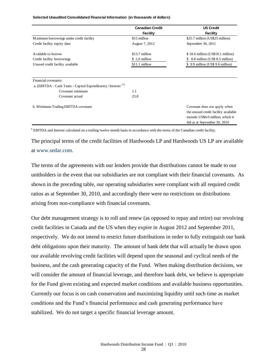**Selected Unaudited Consolidated Financial Information (in thousands of dollars)**

|                                                                           | <b>Canadian Credit</b> | <b>US Credit</b>                                                                                                                          |
|---------------------------------------------------------------------------|------------------------|-------------------------------------------------------------------------------------------------------------------------------------------|
|                                                                           | <b>Facility</b>        | <b>Facility</b>                                                                                                                           |
| Maximum borrowings under credit facility                                  | \$15 million           | \$25.7 million (US\$25 million)                                                                                                           |
| Credit facility expiry date                                               | August 7, 2012         | September 30, 2011                                                                                                                        |
| Available to borrow                                                       | \$13.7 million         | $$18.6$ million (US\$18.1 million)                                                                                                        |
| Credit facility borrowings                                                | \$ 2.6 million         | 8.8 million (US\$ 8.5 million)                                                                                                            |
| Unused credit facility available                                          | \$11.1 million         | \$9.9 million (US\$9.6 million)                                                                                                           |
| Financial covenants:                                                      |                        |                                                                                                                                           |
| a. (EBITDA - Cash Taxes - Capital Expenditures) / Interest <sup>(1)</sup> |                        |                                                                                                                                           |
| Covenant minimum                                                          | 1.1                    |                                                                                                                                           |
| Covenant actual                                                           | 23.8                   |                                                                                                                                           |
| b. Minimum Trailing EBITDA covenant                                       |                        | Covenant does not apply when<br>the unused credit facility available<br>exceeds US\$4.0 million, which it<br>did as at September 30, 2010 |

**<sup>1</sup>** EBITDA and Interest calculated on a trailing twelve month basis in accordance with the terms of the Canadian credit facility.

The principal terms of the credit facilities of Hardwoods LP and Hardwoods US LP are available at [www.sedar.com.](http://www.sedar.com/)

The terms of the agreements with our lenders provide that distributions cannot be made to our unitholders in the event that our subsidiaries are not compliant with their financial covenants. As shown in the preceding table, our operating subsidiaries were compliant with all required credit ratios as at September 30, 2010, and accordingly there were no restrictions on distributions arising from non-compliance with financial covenants.

Our debt management strategy is to roll and renew (as opposed to repay and retire) our revolving credit facilities in Canada and the US when they expire in August 2012 and September 2011, respectively. We do not intend to restrict future distributions in order to fully extinguish our bank debt obligations upon their maturity. The amount of bank debt that will actually be drawn upon our available revolving credit facilities will depend upon the seasonal and cyclical needs of the business, and the cash generating capacity of the Fund. When making distribution decisions, we will consider the amount of financial leverage, and therefore bank debt, we believe is appropriate for the Fund given existing and expected market conditions and available business opportunities. Currently our focus is on cash conservation and maximizing liquidity until such time as market conditions and the Fund's financial performance and cash generating performance have stabilized. We do not target a specific financial leverage amount.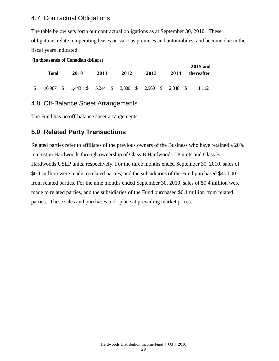### 4.7 Contractual Obligations

The table below sets forth our contractual obligations as at September 30, 2010. These obligations relate to operating leases on various premises and automobiles, and become due in the fiscal years indicated:

```
(in thousands of Canadian dollars)
```

| Total | 2010 | 2011 | 2012 | 2013                                                   | 2014 | 2015 and<br>thereafter |
|-------|------|------|------|--------------------------------------------------------|------|------------------------|
|       |      |      |      | 16,987 \$ 1,443 \$ 5,244 \$ 3,880 \$ 2,960 \$ 2,348 \$ |      | 1.112                  |

## 4.8 Off-Balance Sheet Arrangements

The Fund has no off-balance sheet arrangements.

## **5.0 Related Party Transactions**

Related parties refer to affiliates of the previous owners of the Business who have retained a 20% interest in Hardwoods through ownership of Class B Hardwoods LP units and Class B Hardwoods USLP units, respectively. For the three months ended September 30, 2010, sales of \$0.1 million were made to related parties, and the subsidiaries of the Fund purchased \$40,000 from related parties. For the nine months ended September 30, 2010, sales of \$0.4 million were made to related parties, and the subsidiaries of the Fund purchased \$0.1 million from related parties. These sales and purchases took place at prevailing market prices.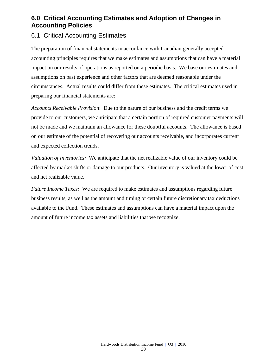## **6.0 Critical Accounting Estimates and Adoption of Changes in Accounting Policies**

## 6.1 Critical Accounting Estimates

The preparation of financial statements in accordance with Canadian generally accepted accounting principles requires that we make estimates and assumptions that can have a material impact on our results of operations as reported on a periodic basis. We base our estimates and assumptions on past experience and other factors that are deemed reasonable under the circumstances. Actual results could differ from these estimates. The critical estimates used in preparing our financial statements are:

*Accounts Receivable Provision*: Due to the nature of our business and the credit terms we provide to our customers, we anticipate that a certain portion of required customer payments will not be made and we maintain an allowance for these doubtful accounts. The allowance is based on our estimate of the potential of recovering our accounts receivable, and incorporates current and expected collection trends.

*Valuation of Inventories:* We anticipate that the net realizable value of our inventory could be affected by market shifts or damage to our products. Our inventory is valued at the lower of cost and net realizable value.

*Future Income Taxes:* We are required to make estimates and assumptions regarding future business results, as well as the amount and timing of certain future discretionary tax deductions available to the Fund. These estimates and assumptions can have a material impact upon the amount of future income tax assets and liabilities that we recognize.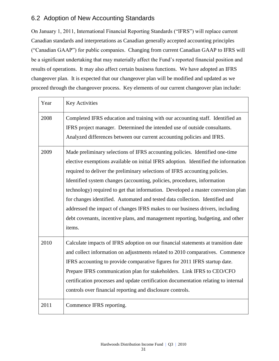## 6.2 Adoption of New Accounting Standards

On January 1, 2011, International Financial Reporting Standards ("IFRS") will replace current Canadian standards and interpretations as Canadian generally accepted accounting principles ("Canadian GAAP") for public companies. Changing from current Canadian GAAP to IFRS will be a significant undertaking that may materially affect the Fund's reported financial position and results of operations. It may also affect certain business functions. We have adopted an IFRS changeover plan. It is expected that our changeover plan will be modified and updated as we proceed through the changeover process. Key elements of our current changeover plan include:

| Year | <b>Key Activities</b>                                                                                                                                                                                                                                                                                                                                                                                                                                                                                                                                                                                                                                                           |
|------|---------------------------------------------------------------------------------------------------------------------------------------------------------------------------------------------------------------------------------------------------------------------------------------------------------------------------------------------------------------------------------------------------------------------------------------------------------------------------------------------------------------------------------------------------------------------------------------------------------------------------------------------------------------------------------|
| 2008 | Completed IFRS education and training with our accounting staff. Identified an<br>IFRS project manager. Determined the intended use of outside consultants.<br>Analyzed differences between our current accounting policies and IFRS.                                                                                                                                                                                                                                                                                                                                                                                                                                           |
| 2009 | Made preliminary selections of IFRS accounting policies. Identified one-time<br>elective exemptions available on initial IFRS adoption. Identified the information<br>required to deliver the preliminary selections of IFRS accounting policies.<br>Identified system changes (accounting, policies, procedures, information<br>technology) required to get that information. Developed a master conversion plan<br>for changes identified. Automated and tested data collection. Identified and<br>addressed the impact of changes IFRS makes to our business drivers, including<br>debt covenants, incentive plans, and management reporting, budgeting, and other<br>items. |
| 2010 | Calculate impacts of IFRS adoption on our financial statements at transition date<br>and collect information on adjustments related to 2010 comparatives. Commence<br>IFRS accounting to provide comparative figures for 2011 IFRS startup date.<br>Prepare IFRS communication plan for stakeholders. Link IFRS to CEO/CFO<br>certification processes and update certification documentation relating to internal<br>controls over financial reporting and disclosure controls.                                                                                                                                                                                                 |
| 2011 | Commence IFRS reporting.                                                                                                                                                                                                                                                                                                                                                                                                                                                                                                                                                                                                                                                        |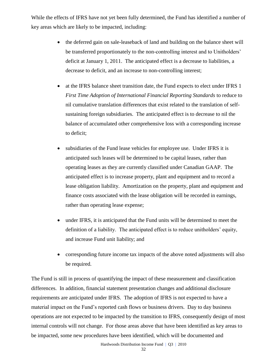While the effects of IFRS have not yet been fully determined, the Fund has identified a number of key areas which are likely to be impacted, including:

- the deferred gain on sale-leaseback of land and building on the balance sheet will be transferred proportionately to the non-controlling interest and to Unitholders' deficit at January 1, 2011. The anticipated effect is a decrease to liabilities, a decrease to deficit, and an increase to non-controlling interest;
- at the IFRS balance sheet transition date, the Fund expects to elect under IFRS 1 *First Time Adoption of International Financial Reporting Standards* to reduce to nil cumulative translation differences that exist related to the translation of selfsustaining foreign subsidiaries. The anticipated effect is to decrease to nil the balance of accumulated other comprehensive loss with a corresponding increase to deficit;
- subsidiaries of the Fund lease vehicles for employee use. Under IFRS it is anticipated such leases will be determined to be capital leases, rather than operating leases as they are currently classified under Canadian GAAP. The anticipated effect is to increase property, plant and equipment and to record a lease obligation liability. Amortization on the property, plant and equipment and finance costs associated with the lease obligation will be recorded in earnings, rather than operating lease expense;
- under IFRS, it is anticipated that the Fund units will be determined to meet the definition of a liability. The anticipated effect is to reduce unitholders' equity, and increase Fund unit liability; and
- corresponding future income tax impacts of the above noted adjustments will also be required.

The Fund is still in process of quantifying the impact of these measurement and classification differences. In addition, financial statement presentation changes and additional disclosure requirements are anticipated under IFRS. The adoption of IFRS is not expected to have a material impact on the Fund's reported cash flows or business drivers. Day to day business operations are not expected to be impacted by the transition to IFRS, consequently design of most internal controls will not change. For those areas above that have been identified as key areas to be impacted, some new procedures have been identified, which will be documented and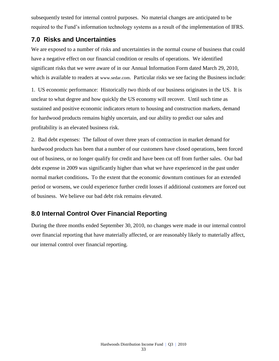subsequently tested for internal control purposes. No material changes are anticipated to be required to the Fund's information technology systems as a result of the implementation of IFRS.

## **7.0 Risks and Uncertainties**

We are exposed to a number of risks and uncertainties in the normal course of business that could have a negative effect on our financial condition or results of operations. We identified significant risks that we were aware of in our Annual Information Form dated March 29, 2010, which is available to readers at [www.sedar.com](http://www.sedar.com/). Particular risks we see facing the Business include:

1. US economic performance: Historically two thirds of our business originates in the US. It is unclear to what degree and how quickly the US economy will recover. Until such time as sustained and positive economic indicators return to housing and construction markets, demand for hardwood products remains highly uncertain, and our ability to predict our sales and profitability is an elevated business risk.

2. Bad debt expenses: The fallout of over three years of contraction in market demand for hardwood products has been that a number of our customers have closed operations, been forced out of business, or no longer qualify for credit and have been cut off from further sales. Our bad debt expense in 2009 was significantly higher than what we have experienced in the past under normal market conditions**.** To the extent that the economic downturn continues for an extended period or worsens, we could experience further credit losses if additional customers are forced out of business. We believe our bad debt risk remains elevated.

## **8.0 Internal Control Over Financial Reporting**

During the three months ended September 30, 2010, no changes were made in our internal control over financial reporting that have materially affected, or are reasonably likely to materially affect, our internal control over financial reporting.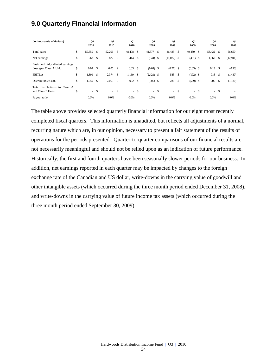## **9.0 Quarterly Financial Information**

| (in thousands of dollars)                                                    |          | Q3<br>2010    |            | Q <sub>2</sub><br>2010 |                                | Q1<br>2010    |               | Q4<br>2009                  |      | Q3<br>2009         |      | Q <sub>2</sub><br>2009    |       | Q1<br>2009          |     | Q4<br>2008        |
|------------------------------------------------------------------------------|----------|---------------|------------|------------------------|--------------------------------|---------------|---------------|-----------------------------|------|--------------------|------|---------------------------|-------|---------------------|-----|-------------------|
| Total sales                                                                  | \$       | 50,559        | -S         | 52,206                 | <sup>\$</sup>                  | 48,498        | \$            | 41,577                      | - \$ | 46,435             | S    | 49,489                    | S     | 53,422              | - S | 56,650            |
| Net earnings                                                                 | \$       | 263           | -S         | 822                    | <sup>\$</sup>                  | 414           | <sup>\$</sup> | $(544)$ \$                  |      | $(11,072)$ \$      |      | $(491)$ \$                |       | 1,867               | -S  | (12, 941)         |
| Basic and fully diluted earnings<br>(loss) per Class A Unit<br><b>EBITDA</b> | \$<br>\$ | 0.02<br>1,391 | - \$<br>-S | 0.06<br>2,374          | <sup>\$</sup><br><sup>\$</sup> | 0.03<br>1,169 | \$<br>-S      | $(0.04)$ \$<br>$(2,421)$ \$ |      | $(0.77)$ \$<br>543 | - \$ | $(0.03)$ \$<br>$(192)$ \$ |       | $0.13$ \$<br>916 \$ |     | (0.90)<br>(1,430) |
| Distributable Cash                                                           | \$       | 1,259         | -\$        | 2,055                  | <sup>\$</sup>                  | 962           | <sup>\$</sup> | $(505)$ \$                  |      | 230                | -S   | $(569)$ \$                |       | 705 \$              |     | (1,730)           |
| Total distributions to Class A<br>and Class B Units                          | \$       | ÷.            | -S         | $\sim$                 | <sup>\$</sup>                  |               | $-$ \$        | $-$ \$                      |      | $\sim$             | -S   |                           | $- S$ | $- S$               |     |                   |
| Payout ratio                                                                 |          | 0.0%          |            | 0.0%                   |                                | 0.0%          |               | 0.0%                        |      | 0.0%               |      | 0.0%                      |       | 0.0%                |     | 0.0%              |

The table above provides selected quarterly financial information for our eight most recently completed fiscal quarters. This information is unaudited, but reflects all adjustments of a normal, recurring nature which are, in our opinion, necessary to present a fair statement of the results of operations for the periods presented. Quarter-to-quarter comparisons of our financial results are not necessarily meaningful and should not be relied upon as an indication of future performance. Historically, the first and fourth quarters have been seasonally slower periods for our business. In addition, net earnings reported in each quarter may be impacted by changes to the foreign exchange rate of the Canadian and US dollar, write-downs in the carrying value of goodwill and other intangible assets (which occurred during the three month period ended December 31, 2008), and write-downs in the carrying value of future income tax assets (which occurred during the three month period ended September 30, 2009).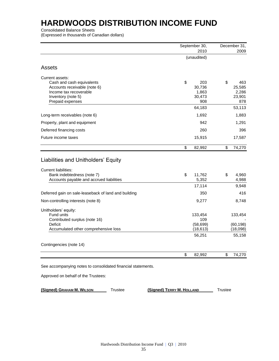Consolidated Balance Sheets

(Expressed in thousands of Canadian dollars)

|                                                                                                                                                  | September 30,<br>2010                         | December 31,<br>2009                          |
|--------------------------------------------------------------------------------------------------------------------------------------------------|-----------------------------------------------|-----------------------------------------------|
|                                                                                                                                                  | (unaudited)                                   |                                               |
| <b>Assets</b>                                                                                                                                    |                                               |                                               |
| Current assets:<br>Cash and cash equivalents<br>Accounts receivable (note 6)<br>Income tax recoverable<br>Inventory (note 5)<br>Prepaid expenses | \$<br>203<br>30,736<br>1,863<br>30,473<br>908 | \$<br>463<br>25,585<br>2,286<br>23,901<br>878 |
|                                                                                                                                                  | 64,183                                        | 53,113                                        |
| Long-term receivables (note 6)                                                                                                                   | 1,692                                         | 1,883                                         |
| Property, plant and equipment                                                                                                                    | 942                                           | 1,291                                         |
| Deferred financing costs                                                                                                                         | 260                                           | 396                                           |
| Future income taxes                                                                                                                              | 15,915                                        | 17,587                                        |
|                                                                                                                                                  |                                               | \$<br>74,270                                  |
|                                                                                                                                                  | \$<br>82,992                                  |                                               |
| Liabilities and Unitholders' Equity<br><b>Current liabilities:</b><br>Bank indebtedness (note 7)                                                 | \$<br>11,762                                  | \$<br>4,960                                   |
| Accounts payable and accrued liabilities                                                                                                         | 5,352                                         | 4,988                                         |
|                                                                                                                                                  | 17,114                                        | 9,948                                         |
| Deferred gain on sale-leaseback of land and building                                                                                             | 350                                           | 416                                           |
| Non-controlling interests (note 8)                                                                                                               | 9,277                                         | 8,748                                         |
| Unitholders' equity:<br>Fund units<br>Contributed surplus (note 16)<br>Deficit<br>Accumulated other comprehensive loss                           | 133,454<br>109<br>(58, 699)<br>(18, 613)      | 133,454                                       |
|                                                                                                                                                  | 56,251                                        | (60, 198)<br>(18,098)<br>55,158               |
| Contingencies (note 14)                                                                                                                          |                                               |                                               |

Approved on behalf of the Trustees:

**(Signed) GRAHAM M. WILSON** Trustee **(Signed) TERRY M. HOLLAND** Trustee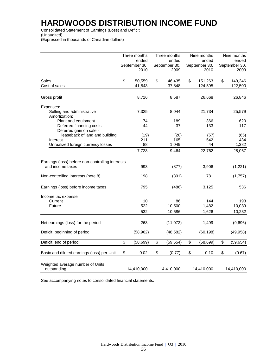Consolidated Statement of Earnings (Loss) and Deficit (Unaudited) (Expressed in thousands of Canadian dollars)

|                                                                                  | Three months                   | Three months                   | Nine months                    | Nine months                    |
|----------------------------------------------------------------------------------|--------------------------------|--------------------------------|--------------------------------|--------------------------------|
|                                                                                  | ended<br>September 30,<br>2010 | ended<br>September 30,<br>2009 | ended<br>September 30,<br>2010 | ended<br>September 30,<br>2009 |
| Sales<br>Cost of sales                                                           | \$<br>50,559<br>41,843         | \$<br>46,435<br>37,848         | \$<br>151,263<br>124,595       | \$<br>149,346<br>122,500       |
| Gross profit                                                                     | 8,716                          | 8,587                          | 26,668                         | 26,846                         |
| Expenses:<br>Selling and administrative<br>Amortization:                         | 7,325                          | 8,044                          | 21,734                         | 25,579                         |
| Plant and equipment<br>Deferred financing costs<br>Deferred gain on sale -       | 74<br>44                       | 189<br>37                      | 366<br>133                     | 620<br>117                     |
| leaseback of land and building<br>Interest<br>Unrealized foreign currency losses | (19)<br>211<br>88              | (20)<br>165<br>1,049           | (57)<br>542<br>44              | (65)<br>434<br>1,382           |
|                                                                                  | 7,723                          | 9,464                          | 22,762                         | 28,067                         |
| Earnings (loss) before non-controlling interests<br>and income taxes             | 993                            | (877)                          | 3,906                          | (1,221)                        |
| Non-controlling interests (note 8)                                               | 198                            | (391)                          | 781                            | (1,757)                        |
| Earnings (loss) before income taxes                                              | 795                            | (486)                          | 3,125                          | 536                            |
| Income tax expense<br>Current<br>Future                                          | 10<br>522                      | 86<br>10,500                   | 144<br>1,482                   | 193<br>10,039                  |
|                                                                                  | 532                            | 10,586                         | 1,626                          | 10,232                         |
| Net earnings (loss) for the period                                               | 263                            | (11,072)                       | 1,499                          | (9,696)                        |
| Deficit, beginning of period                                                     | (58, 962)                      | (48, 582)                      | (60, 198)                      | (49, 958)                      |
| Deficit, end of period                                                           | \$<br>(58, 699)                | \$<br>(59, 654)                | \$<br>(58, 699)                | \$<br>(59, 654)                |
| Basic and diluted earnings (loss) per Unit                                       | \$<br>0.02                     | \$<br>(0.77)                   | \$<br>0.10                     | \$<br>(0.67)                   |
| Weighted average number of Units<br>outstanding                                  | 14,410,000                     | 14,410,000                     | 14,410,000                     | 14,410,000                     |

See accompanying notes to consolidated financial statements.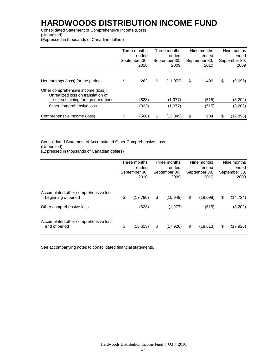Consolidated Statement of Comprehensive Income (Loss) (Unaudited)

(Expressed in thousands of Canadian dollars)

|                                                                                                               | Three months<br>ended<br>September 30,<br>2010 | Three months<br>ended<br>September 30,<br>2009 | Nine months<br>ended<br>September 30,<br>2010 | Nine months<br>ended<br>September 30,<br>2009 |
|---------------------------------------------------------------------------------------------------------------|------------------------------------------------|------------------------------------------------|-----------------------------------------------|-----------------------------------------------|
| Net earnings (loss) for the period                                                                            | \$<br>263                                      | \$<br>(11,072)                                 | \$<br>1.499                                   | \$<br>(9,696)                                 |
| Other comprehensive income (loss):<br>Unrealized loss on translation of<br>self-sustaining foreign operations | (823)                                          | (1, 977)                                       | (515)                                         | (3,202)                                       |
| Other comprehensive loss                                                                                      | (823)                                          | (1, 977)                                       | (515)                                         | (3,202)                                       |
| Comprehensive income (loss)                                                                                   | \$<br>(560)                                    | \$<br>(13,049)                                 | \$<br>984                                     | \$<br>(12,898)                                |

Consolidated Statement of Accumulated Other Comprehensive Loss (Unaudited) (Expressed in thousands of Canadian dollars)

|                                                                                          | Three months<br>ended<br>September 30,<br>2010 | Three months<br>ended<br>September 30,<br>2009 | Nine months<br>ended<br>September 30,<br>2010 | Nine months<br>ended<br>September 30,<br>2009 |
|------------------------------------------------------------------------------------------|------------------------------------------------|------------------------------------------------|-----------------------------------------------|-----------------------------------------------|
| Accumulated other comprehensive loss,<br>beginning of period<br>Other comprehensive loss | \$<br>(17,790)<br>(823)                        | \$<br>(15,949)<br>(1, 977)                     | \$<br>(18,098)<br>(515)                       | \$<br>(14, 724)<br>(3,202)                    |
| Accumulated other comprehensive loss,<br>end of period                                   | \$<br>(18, 613)                                | \$<br>(17,926)                                 | \$<br>(18, 613)                               | \$<br>(17, 926)                               |

See accompanying notes to consolidated financial statements.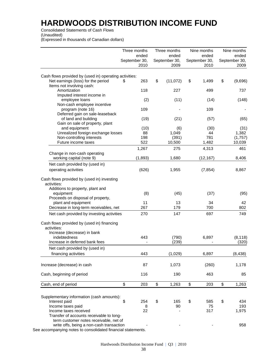Consolidated Statements of Cash Flows

(Unaudited)

(Expressed in thousands of Canadian dollars)

|                                                                                                                                                                    | Three months          | Three months          | Nine months           | Nine months           |
|--------------------------------------------------------------------------------------------------------------------------------------------------------------------|-----------------------|-----------------------|-----------------------|-----------------------|
|                                                                                                                                                                    | ended                 | ended                 | ended                 | ended                 |
|                                                                                                                                                                    | September 30,<br>2010 | September 30,<br>2009 | September 30,<br>2010 | September 30,<br>2009 |
| Cash flows provided by (used in) operating activities:                                                                                                             |                       |                       |                       |                       |
| Net earnings (loss) for the period                                                                                                                                 | 263<br>\$             | \$<br>(11, 072)       | \$<br>1,499           | \$<br>(9,696)         |
| Items not involving cash:                                                                                                                                          |                       |                       |                       |                       |
| Amortization                                                                                                                                                       | 118                   | 227                   | 499                   | 737                   |
| Imputed interest income in                                                                                                                                         |                       |                       |                       |                       |
| employee loans                                                                                                                                                     | (2)                   | (11)                  | (14)                  | (148)                 |
| Non-cash employee incentive                                                                                                                                        |                       |                       |                       |                       |
| program (note 16)                                                                                                                                                  | 109                   |                       | 109                   |                       |
| Deferred gain on sale-leaseback                                                                                                                                    |                       |                       |                       |                       |
| of land and building<br>Gain on sale of property, plant                                                                                                            | (19)                  | (21)                  | (57)                  | (65)                  |
| and equipment                                                                                                                                                      | (10)                  | (6)                   | (30)                  | (31)                  |
| Unrealized foreign exchange losses                                                                                                                                 | 88                    | 1,049                 | 44                    | 1,382                 |
| Non-controlling interests                                                                                                                                          | 198                   | (391)                 | 781                   | (1,757)               |
| Future income taxes                                                                                                                                                | 522                   | 10,500                | 1,482                 | 10,039                |
|                                                                                                                                                                    | 1,267                 | 275                   | 4,313                 | 461                   |
| Change in non-cash operating                                                                                                                                       |                       |                       |                       |                       |
| working capital (note 9)                                                                                                                                           | (1,893)               | 1,680                 | (12, 167)             | 8,406                 |
| Net cash provided by (used in)                                                                                                                                     |                       |                       |                       |                       |
| operating activities                                                                                                                                               | (626)                 | 1,955                 | (7, 854)              | 8,867                 |
| activities:<br>Additions to property, plant and<br>equipment<br>Proceeds on disposal of property,<br>plant and equipment<br>Decrease in long-term receivables, net | (8)<br>11<br>267      | (45)<br>13<br>179     | (37)<br>34<br>700     | (95)<br>42<br>802     |
| Net cash provided by investing activities                                                                                                                          | 270                   | 147                   | 697                   | 749                   |
| Cash flows provided by (used in) financing<br>activities:                                                                                                          |                       |                       |                       |                       |
| Increase (decrease) in bank                                                                                                                                        |                       |                       |                       |                       |
| indebtedness<br>Increase in deferred bank fees                                                                                                                     | 443                   | (790)                 | 6,897                 | (8, 118)              |
|                                                                                                                                                                    |                       | (239)                 |                       | (320)                 |
| Net cash provided by (used in)<br>financing activities                                                                                                             | 443                   | (1,029)               | 6,897                 | (8, 438)              |
|                                                                                                                                                                    |                       |                       |                       |                       |
| Increase (decrease) in cash                                                                                                                                        | 87                    | 1,073                 | (260)                 | 1,178                 |
| Cash, beginning of period                                                                                                                                          | 116                   | 190                   | 463                   | 85                    |
| Cash, end of period                                                                                                                                                | \$<br>203             | \$<br>1,263           | \$<br>203             | \$<br>1,263           |
|                                                                                                                                                                    |                       |                       |                       |                       |
| Supplementary information (cash amounts):                                                                                                                          |                       |                       |                       |                       |
| Interest paid                                                                                                                                                      | \$<br>254             | \$<br>165             | \$<br>585             | \$<br>434             |
| Income taxes paid<br>Income taxes received                                                                                                                         | 8<br>22               | 90                    | 75<br>317             | 193<br>1,975          |
| Transfer of accounts receivable to long-                                                                                                                           |                       |                       |                       |                       |
| term customer notes receivable, net of                                                                                                                             |                       |                       |                       |                       |
| write offs, being a non-cash transaction                                                                                                                           |                       |                       |                       | 958                   |
| See accompanying notes to consolidated financial statements.                                                                                                       |                       |                       |                       |                       |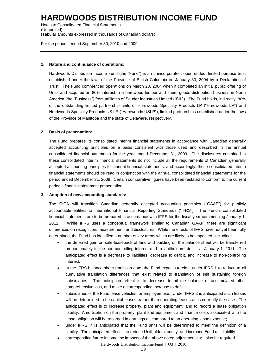Notes to Consolidated Financial Statements (Unaudited) (Tabular amounts expressed in thousands of Canadian dollars)

For the periods ended September 30, 2010 and 2009

#### **1. Nature and continuance of operations:**

Hardwoods Distribution Income Fund (the "Fund") is an unincorporated, open ended, limited purpose trust established under the laws of the Province of British Columbia on January 30, 2004 by a Declaration of Trust. The Fund commenced operations on March 23, 2004 when it completed an initial public offering of Units and acquired an 80% interest in a hardwood lumber and sheet goods distribution business in North America (the "Business") from affiliates of Sauder Industries Limited ("SIL"). The Fund holds, indirectly, 80% of the outstanding limited partnership units of Hardwoods Specialty Products LP ("Hardwoods LP") and Hardwoods Specialty Products US LP ("Hardwoods USLP"), limited partnerships established under the laws of the Province of Manitoba and the state of Delaware, respectively.

### **2. Basis of presentation:**

The Fund prepares its consolidated interim financial statements in accordance with Canadian generally accepted accounting principles on a basis consistent with those used and described in the annual consolidated financial statements for the year ended December 31, 2009. The disclosures contained in these consolidated interim financial statements do not include all the requirements of Canadian generally accepted accounting principles for annual financial statements, and accordingly, these consolidated interim financial statements should be read in conjunction with the annual consolidated financial statements for the period ended December 31, 2009. Certain comparative figures have been restated to conform to the current period's financial statement presentation.

### **3. Adoption of new accounting standards:**

The CICA will transition Canadian generally accepted accounting principles ("GAAP") for publicly accountable entities to International Financial Reporting Standards ("IFRS"). The Fund's consolidated financial statements are to be prepared in accordance with IFRS for the fiscal year commencing January 1, 2011. While IFRS uses a conceptual framework similar to Canadian GAAP, there are significant differences on recognition, measurement, and disclosures. While the effects of IFRS have not yet been fully determined, the Fund has identified a number of key areas which are likely to be impacted, including:

- the deferred gain on sale-leaseback of land and building on the balance sheet will be transferred proportionately to the non-controlling interest and to Unitholders' deficit at January 1, 2011. The anticipated effect is a decrease to liabilities, decrease to deficit, and increase to non-controlling interest;
- at the IFRS balance sheet transition date, the Fund expects to elect under IFRS 1 to reduce to nil cumulative translation differences that exist related to translation of self sustaining foreign subsidiaries. The anticipated effect is to decrease to nil the balance of accumulated other comprehensive loss, and make a corresponding increase to deficit;
- subsidiaries of the Fund lease vehicles for employee use. Under IFRS it is anticipated such leases will be determined to be capital leases, rather than operating leases as is currently the case. The anticipated effect is to increase property, plant and equipment, and to record a lease obligation liability. Amortization on the property, plant and equipment and finance costs associated with the lease obligation will be recorded in earnings as compared to an operating lease expense;
- under IFRS, it is anticipated that the Fund units will be determined to meet the definition of a liability. The anticipated effect is to reduce Unitholders' equity, and increase Fund unit liability.
	- corresponding future income tax impacts of the above noted adjustments will also be required.
		- Hardwoods Distribution Income Fund | Q3 | 2010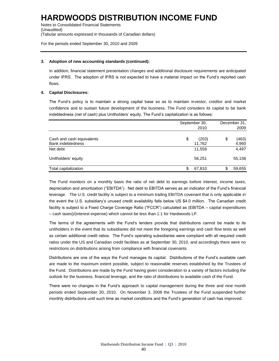Notes to Consolidated Financial Statements (Unaudited) (Tabular amounts expressed in thousands of Canadian dollars)

For the periods ended September 30, 2010 and 2009

### **3. Adoption of new accounting standards (continued):**

In addition, financial statement presentation changes and additional disclosure requirements are anticipated under IFRS. The adoption of IFRS is not expected to have a material impact on the Fund's reported cash flows.

### **4. Capital Disclosures:**

The Fund's policy is to maintain a strong capital base so as to maintain investor, creditor and market confidence and to sustain future development of the business. The Fund considers its capital to be bank indebtedness (net of cash) plus Unitholders' equity. The Fund's capitalization is as follows:

|                                                       | September 30,         | December 31, |                |  |
|-------------------------------------------------------|-----------------------|--------------|----------------|--|
|                                                       | 2010                  |              | 2009           |  |
| Cash and cash equivalents<br><b>Bank indebtedness</b> | \$<br>(203)<br>11,762 | \$           | (463)<br>4,960 |  |
| Net debt                                              | 11,559                |              | 4,497          |  |
| Unitholders' equity                                   | 56,251                |              | 55,158         |  |
| Total capitalization                                  | \$<br>67,810          | S            | 59,655         |  |

The Fund monitors on a monthly basis the ratio of net debt to earnings before interest, income taxes, depreciation and amortization ("EBITDA"). Net debt to EBITDA serves as an indicator of the Fund's financial leverage. The U.S. credit facility is subject to a minimum trailing EBITDA covenant that is only applicable in the event the U.S. subsidiary's unused credit availability falls below US \$4.0 million. The Canadian credit facility is subject to a Fixed Charge Coverage Ratio ("FCCR") calculated as (EBITDA – capital expenditures – cash taxes)/(interest expense) which cannot be less than 1.1 for Hardwoods LP.

The terms of the agreements with the Fund's lenders provide that distributions cannot be made to its unitholders in the event that its subsidiaries did not meet the foregoing earnings and cash flow tests as well as certain additional credit ratios. The Fund's operating subsidiaries were compliant with all required credit ratios under the US and Canadian credit facilities as at September 30, 2010, and accordingly there were no restrictions on distributions arising from compliance with financial covenants.

Distributions are one of the ways the Fund manages its capital. Distributions of the Fund's available cash are made to the maximum extent possible, subject to reasonable reserves established by the Trustees of the Fund. Distributions are made by the Fund having given consideration to a variety of factors including the outlook for the business, financial leverage, and the ratio of distributions to available cash of the Fund.

There were no changes in the Fund's approach to capital management during the three and nine month periods ended September 30, 2010. On November 3, 2008 the Trustees of the Fund suspended further monthly distributions until such time as market conditions and the Fund's generation of cash has improved.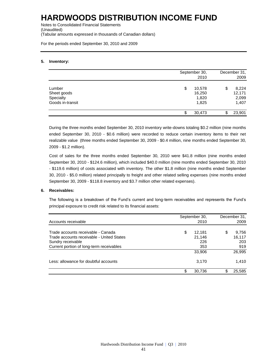Notes to Consolidated Financial Statements (Unaudited) (Tabular amounts expressed in thousands of Canadian dollars)

For the periods ended September 30, 2010 and 2009

### **5. Inventory:**

|                                                        |                        | September 30,<br>2010 |   |                                   |  |  |  |
|--------------------------------------------------------|------------------------|-----------------------|---|-----------------------------------|--|--|--|
| Lumber<br>Sheet goods<br>Specialty<br>Goods in-transit | \$<br>10,578<br>16,250 | 1,820<br>1,825        | S | 8,224<br>12,171<br>2,099<br>1,407 |  |  |  |
|                                                        | 30,473                 |                       |   | 23,901                            |  |  |  |

During the three months ended September 30, 2010 inventory write-downs totaling \$0.2 million (nine months ended September 30, 2010 - \$0.6 million) were recorded to reduce certain inventory items to their net realizable value (three months ended September 30, 2009 - \$0.4 million, nine months ended September 30, 2009 - \$1.2 million).

Cost of sales for the three months ended September 30, 2010 were \$41.8 million (nine months ended September 30, 2010 - \$124.6 million), which included \$40.0 million (nine months ended September 30, 2010 - \$119.6 million) of costs associated with inventory. The other \$1.8 million (nine months ended September 30, 2010 - \$5.0 million) related principally to freight and other related selling expenses (nine months ended September 30, 2009 - \$118.8 inventory and \$3.7 million other related expenses).

### **6. Receivables:**

The following is a breakdown of the Fund's current and long-term receivables and represents the Fund's principal exposure to credit risk related to its financial assets:

|                                                                                 | September 30,          | December 31,    |
|---------------------------------------------------------------------------------|------------------------|-----------------|
| Accounts receivable                                                             | 2010                   | 2009            |
| Trade accounts receivable - Canada<br>Trade accounts receivable - United States | \$<br>12,181<br>21.146 | 9,756<br>16.117 |
| Sundry receivable<br>Current portion of long-term receivables                   | 226<br>353             | 203<br>919      |
|                                                                                 | 33,906                 | 26,995          |
| Less: allowance for doubtful accounts                                           | 3,170                  | 1,410           |
|                                                                                 | \$<br>30.736           | 25.585          |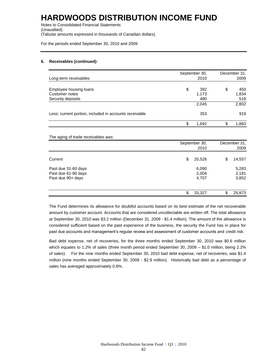Notes to Consolidated Financial Statements (Unaudited) (Tabular amounts expressed in thousands of Canadian dollars)

For the periods ended September 30, 2010 and 2009

### **6. Receivables (continued):**

| Long-term receivables                                         |    | September 30,<br>2010 | December 31,<br>2009 |                     |  |
|---------------------------------------------------------------|----|-----------------------|----------------------|---------------------|--|
| Employee housing loans<br>Customer notes<br>Security deposits | \$ | 392<br>1,173<br>480   | \$                   | 450<br>1,834<br>518 |  |
|                                                               |    | 2,045                 |                      | 2,802               |  |
| Less: current portion, included in accounts receivable        |    | 353                   |                      | 919                 |  |
|                                                               | \$ | 1,692                 | ጥ                    | 1,883               |  |

#### The aging of trade receivables was:

| ິ                                                               | September 30,<br>2010   |    |                         |
|-----------------------------------------------------------------|-------------------------|----|-------------------------|
| Current                                                         | \$<br>20,526            | \$ | 14,557                  |
| Past due 31-60 days<br>Past due 61-90 days<br>Past due 90+ days | 6,090<br>2,004<br>4,707 |    | 5,283<br>2,181<br>3,852 |
|                                                                 | \$<br>33,327            | S  | 25,873                  |

The Fund determines its allowance for doubtful accounts based on its best estimate of the net recoverable amount by customer account. Accounts that are considered uncollectable are written off. The total allowance at September 30, 2010 was \$3.2 million (December 31, 2009 - \$1.4 million). The amount of the allowance is considered sufficient based on the past experience of the business, the security the Fund has in place for past due accounts and management's regular review and assessment of customer accounts and credit risk.

Bad debt expense, net of recoveries, for the three months ended September 30, 2010 was \$0.6 million which equates to 1.2% of sales (three month period ended September 30, 2009 – \$1.0 million, being 2.2% of sales). For the nine months ended September 30, 2010 bad debt expense, net of recoveries, was \$1.4 million (nine months ended September 30, 2009 - \$2.9 million). Historically bad debt as a percentage of sales has averaged approximately 0.8%.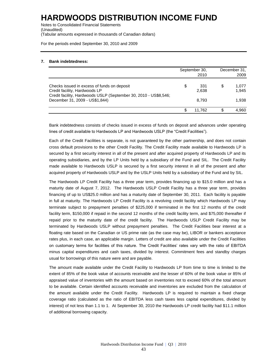Notes to Consolidated Financial Statements (Unaudited) (Tabular amounts expressed in thousands of Canadian dollars)

For the periods ended September 30, 2010 and 2009

### **7. Bank indebtedness:**

|                                                                                                                                                  | September 30,<br>2010 | December 31,<br>2009 |                |  |
|--------------------------------------------------------------------------------------------------------------------------------------------------|-----------------------|----------------------|----------------|--|
| Checks issued in excess of funds on deposit<br>Credit facility, Hardwoods LP<br>Credit facility, Hardwoods USLP (September 30, 2010 - US\$8,546; | \$<br>331<br>2,638    | S                    | 1,077<br>1.945 |  |
| December 31, 2009 - US\$1,844)                                                                                                                   | 8.793                 |                      | 1.938          |  |
|                                                                                                                                                  | 11.762                | S                    | 4,960          |  |

Bank indebtedness consists of checks issued in excess of funds on deposit and advances under operating lines of credit available to Hardwoods LP and Hardwoods USLP (the "Credit Facilities").

Each of the Credit Facilities is separate, is not guaranteed by the other partnership, and does not contain cross default provisions to the other Credit Facility. The Credit Facility made available to Hardwoods LP is secured by a first security interest in all of the present and after acquired property of Hardwoods LP and its operating subsidiaries, and by the LP Units held by a subsidiary of the Fund and SIL. The Credit Facility made available to Hardwoods USLP is secured by a first security interest in all of the present and after acquired property of Hardwoods USLP and by the USLP Units held by a subsidiary of the Fund and by SIL.

The Hardwoods LP Credit Facility has a three year term, provides financing up to \$15.0 million and has a maturity date of August 7, 2012. The Hardwoods USLP Credit Facility has a three year term, provides financing of up to US\$25.0 million and has a maturity date of September 30, 2011. Each facility is payable in full at maturity. The Hardwoods LP Credit Facility is a revolving credit facility which Hardwoods LP may terminate subject to prepayment penalties of \$225,000 if terminated in the first 12 months of the credit facility term, \$150,000 if repaid in the second 12 months of the credit facility term, and \$75,000 thereafter if repaid prior to the maturity date of the credit facility. The Hardwoods USLP Credit Facility may be terminated by Hardwoods USLP without prepayment penalties. The Credit Facilities bear interest at a floating rate based on the Canadian or US prime rate (as the case may be), LIBOR or bankers acceptance rates plus, in each case, an applicable margin. Letters of credit are also available under the Credit Facilities on customary terms for facilities of this nature. The Credit Facilities' rates vary with the ratio of EBITDA minus capital expenditures and cash taxes, divided by interest. Commitment fees and standby charges usual for borrowings of this nature were and are payable.

The amount made available under the Credit Facility to Hardwoods LP from time to time is limited to the extent of 85% of the book value of accounts receivable and the lesser of 60% of the book value or 85% of appraised value of inventories with the amount based on inventories not to exceed 60% of the total amount to be available. Certain identified accounts receivable and inventories are excluded from the calculation of the amount available under the Credit Facility. Hardwoods LP is required to maintain a fixed charge coverage ratio (calculated as the ratio of EBITDA less cash taxes less capital expenditures, divided by interest) of not less than 1.1 to 1. At September 30, 2010 the Hardwoods LP credit facility had \$11.1 million of additional borrowing capacity.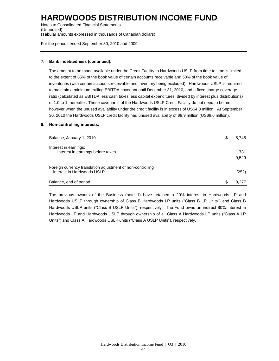Notes to Consolidated Financial Statements (Unaudited) (Tabular amounts expressed in thousands of Canadian dollars)

For the periods ended September 30, 2010 and 2009

### **7. Bank indebtedness (continued):**

The amount to be made available under the Credit Facility to Hardwoods USLP from time to time is limited to the extent of 85% of the book value of certain accounts receivable and 50% of the book value of inventories (with certain accounts receivable and inventory being excluded). Hardwoods USLP is required to maintain a minimum trailing EBITDA covenant until December 31, 2010, and a fixed charge coverage ratio (calculated as EBITDA less cash taxes less capital expenditures, divided by interest plus distributions) of 1.0 to 1 thereafter. These covenants of the Hardwoods USLP Credit Facility do not need to be met however when the unused availability under the credit facility is in excess of US\$4.0 million. At September 30, 2010 the Hardwoods USLP credit facility had unused availability of \$9.9 million (US\$9.6 million).

### **8. Non-controlling interests:**

| Balance, January 1, 2010                                                                 | S  | 8,748 |
|------------------------------------------------------------------------------------------|----|-------|
| Interest in earnings:<br>Interest in earnings before taxes                               |    | 781   |
|                                                                                          |    | 9,529 |
| Foreign currency translation adjustment of non-controlling<br>interest in Hardwoods USLP |    | (252) |
| Balance, end of period                                                                   | S. | 9.277 |

The previous owners of the Business (note 1) have retained a 20% interest in Hardwoods LP and Hardwoods USLP through ownership of Class B Hardwoods LP units ("Class B LP Units") and Class B Hardwoods USLP units ("Class B USLP Units"), respectively. The Fund owns an indirect 80% interest in Hardwoods LP and Hardwoods USLP through ownership of all Class A Hardwoods LP units ("Class A LP Units") and Class A Hardwoods USLP units ("Class A USLP Units"), respectively.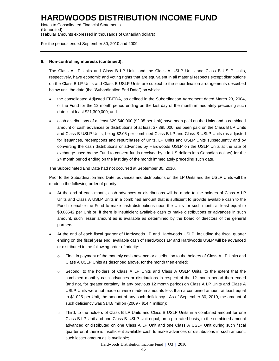Notes to Consolidated Financial Statements (Unaudited) (Tabular amounts expressed in thousands of Canadian dollars)

For the periods ended September 30, 2010 and 2009

### **8. Non-controlling interests (continued):**

The Class A LP Units and Class B LP Units and the Class A USLP Units and Class B USLP Units, respectively, have economic and voting rights that are equivalent in all material respects except distributions on the Class B LP Units and Class B USLP Units are subject to the subordination arrangements described below until the date (the "Subordination End Date") on which:

- the consolidated Adjusted EBITDA, as defined in the Subordination Agreement dated March 23, 2004, of the Fund for the 12 month period ending on the last day of the month immediately preceding such date is at least \$21,300,000; and
- cash distributions of at least \$29,540,000 (\$2.05 per Unit) have been paid on the Units and a combined amount of cash advances or distributions of at least \$7,385,000 has been paid on the Class B LP Units and Class B USLP Units, being \$2.05 per combined Class B LP and Class B USLP Units (as adjusted for issuances, redemptions and repurchases of Units, LP Units and USLP Units subsequently and by converting the cash distributions or advances by Hardwoods USLP on the USLP Units at the rate of exchange used by the Fund to convert funds received by it in US dollars into Canadian dollars) for the 24 month period ending on the last day of the month immediately preceding such date.

The Subordinated End Date had not occurred at September 30, 2010.

Prior to the Subordination End Date, advances and distributions on the LP Units and the USLP Units will be made in the following order of priority:

- At the end of each month, cash advances or distributions will be made to the holders of Class A LP Units and Class A USLP Units in a combined amount that is sufficient to provide available cash to the Fund to enable the Fund to make cash distributions upon the Units for such month at least equal to \$0.08542 per Unit or, if there is insufficient available cash to make distributions or advances in such amount, such lesser amount as is available as determined by the board of directors of the general partners;
- At the end of each fiscal quarter of Hardwoods LP and Hardwoods USLP, including the fiscal quarter ending on the fiscal year end, available cash of Hardwoods LP and Hardwoods USLP will be advanced or distributed in the following order of priority:
	- First, in payment of the monthly cash advance or distribution to the holders of Class A LP Units and Class A USLP Units as described above, for the month then ended;
	- o Second, to the holders of Class A LP Units and Class A USLP Units, to the extent that the combined monthly cash advances or distributions in respect of the 12 month period then ended (and not, for greater certainty, in any previous 12 month period) on Class A LP Units and Class A USLP Units were not made or were made in amounts less than a combined amount at least equal to \$1.025 per Unit, the amount of any such deficiency. As of September 30, 2010, the amount of such deficiency was \$14.8 million (2009 - \$14.4 million);
	- Third, to the holders of Class B LP Units and Class B USLP Units in a combined amount for one Class B LP Unit and one Class B USLP Unit equal, on a pro-rated basis, to the combined amount advanced or distributed on one Class A LP Unit and one Class A USLP Unit during such fiscal quarter or, if there is insufficient available cash to make advances or distributions in such amount, such lesser amount as is available;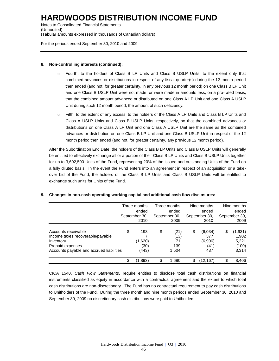Notes to Consolidated Financial Statements (Unaudited) (Tabular amounts expressed in thousands of Canadian dollars)

For the periods ended September 30, 2010 and 2009

### **8. Non-controlling interests (continued):**

- o Fourth, to the holders of Class B LP Units and Class B USLP Units, to the extent only that combined advances or distributions in respect of any fiscal quarter(s) during the 12 month period then ended (and not, for greater certainty, in any previous 12 month period) on one Class B LP Unit and one Class B USLP Unit were not made, or were made in amounts less, on a pro-rated basis, that the combined amount advanced or distributed on one Class A LP Unit and one Class A USLP Unit during such 12 month period, the amount of such deficiency.
- o Fifth, to the extent of any excess, to the holders of the Class A LP Units and Class B LP Units and Class A USLP Units and Class B USLP Units, respectively, so that the combined advances or distributions on one Class A LP Unit and one Class A USLP Unit are the same as the combined advances or distribution on one Class B LP Unit and one Class B USLP Unit in respect of the 12 month period then ended (and not, for greater certainty, any previous 12 month period).

After the Subordination End Date, the holders of the Class B LP Units and Class B USLP Units will generally be entitled to effectively exchange all or a portion of their Class B LP Units and Class B USLP Units together for up to 3,602,500 Units of the Fund, representing 20% of the issued and outstanding Units of the Fund on a fully diluted basis. In the event the Fund enters into an agreement in respect of an acquisition or a takeover bid of the Fund, the holders of the Class B LP Units and Class B USLP Units will be entitled to exchange such units for Units of the Fund.

|                                                                                                                                      | Three months<br>ended<br>September 30,<br>2010 | Three months<br>ended<br>September 30,<br>2009 | Nine months<br>ended<br>September 30,<br>2010  |    | Nine months<br>ended<br>September 30,<br>2009 |  |
|--------------------------------------------------------------------------------------------------------------------------------------|------------------------------------------------|------------------------------------------------|------------------------------------------------|----|-----------------------------------------------|--|
| Accounts receivable<br>Income taxes recoverable/payable<br>Inventory<br>Prepaid expenses<br>Accounts payable and accrued liabilities | \$<br>193<br>(1,620)<br>(30)<br>(443)          | \$<br>(21)<br>(13)<br>71<br>139<br>1,504       | \$<br>(6,034)<br>377<br>(6,906)<br>(41)<br>437 | \$ | (1, 931)<br>1,902<br>5,221<br>(100)<br>3,314  |  |
|                                                                                                                                      | \$<br>(1,893)                                  | \$<br>1,680                                    | \$<br>(12,167)                                 | \$ | 8,406                                         |  |

### **9. Changes in non-cash operating working capital and additional cash flow disclosures:**

CICA 1540, *Cash Flow Statements*, require entities to disclose total cash distributions on financial instruments classified as equity in accordance with a contractual agreement and the extent to which total cash distributions are non-discretionary. The Fund has no contractual requirement to pay cash distributions to Unitholders of the Fund. During the three month and nine month periods ended September 30, 2010 and September 30, 2009 no discretionary cash distributions were paid to Unitholders.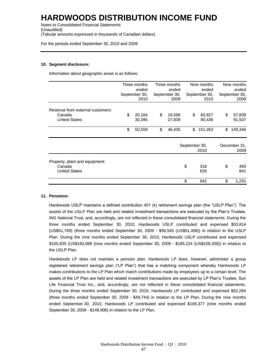Notes to Consolidated Financial Statements (Unaudited) (Tabular amounts expressed in thousands of Canadian dollars)

For the periods ended September 30, 2010 and 2009

### **10. Segment disclosure:**

Information about geographic areas is as follows:

|                                                                    | Three months<br>ended<br>September 30,<br>2010 |                  | Three months<br>ended<br>September 30,<br>2009 |                  | Nine months<br>ended<br>September 30,<br>2010 |                  | Nine months<br>ended<br>September 30,<br>2009 |                      |
|--------------------------------------------------------------------|------------------------------------------------|------------------|------------------------------------------------|------------------|-----------------------------------------------|------------------|-----------------------------------------------|----------------------|
| Revenue from external customers:<br>Canada<br><b>United States</b> | \$                                             | 20,164<br>30,395 | \$                                             | 18,596<br>27,839 | \$                                            | 60,827<br>90,436 | \$                                            | 57,839<br>91,507     |
|                                                                    | \$                                             | 50,559           | \$                                             | 46,435           | \$                                            | 151,263          | \$                                            | 149,346              |
|                                                                    |                                                |                  |                                                |                  | September 30,<br>2010                         |                  |                                               | December 31,<br>2009 |
| Property, plant and equipment:<br>Canada<br><b>United States</b>   |                                                |                  |                                                |                  | \$                                            | 316<br>626       | \$                                            | 450<br>841           |
|                                                                    |                                                |                  |                                                |                  | \$                                            | 942              | \$                                            | 1,291                |

#### **11. Pensions:**

Hardwoods USLP maintains a defined contribution 401 (k) retirement savings plan (the "USLP Plan"). The assets of the USLP Plan are held and related investment transactions are executed by the Plan's Trustee, ING National Trust, and, accordingly, are not reflected in these consolidated financial statements. During the three months ended September 30, 2010, Hardwoods USLP contributed and expensed \$53,814 (US\$51,769) (three months ended September 30, 2009 - \$56,545 (US\$51,498)) in relation to the USLP Plan. During the nine months ended September 30, 2010, Hardwoods USLP contributed and expensed \$165,835 (US\$160,088 (nine months ended September 30, 2009 - \$185,224 (US\$158,338)) in relation to the USLP Plan.

Hardwoods LP does not maintain a pension plan. Hardwoods LP does, however, administer a group registered retirement savings plan ("LP Plan") that has a matching component whereby Hardwoods LP makes contributions to the LP Plan which match contributions made by employees up to a certain level. The assets of the LP Plan are held and related investment transactions are executed by LP Plan's Trustee, Sun Life Financial Trust Inc., and, accordingly, are not reflected in these consolidated financial statements. During the three months ended September 30, 2010, Hardwoods LP contributed and expensed \$52,284 (three months ended September 30, 2009 - \$49,744) in relation to the LP Plan. During the nine months ended September 30, 2010, Hardwoods LP contributed and expensed \$169,377 (nine months ended September 30, 2009 - \$149,906) in relation to the LP Plan.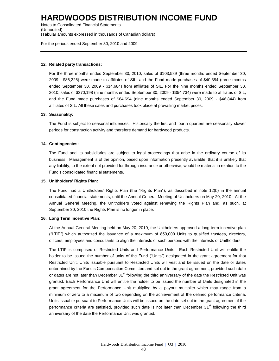Notes to Consolidated Financial Statements (Unaudited) (Tabular amounts expressed in thousands of Canadian dollars)

For the periods ended September 30, 2010 and 2009

#### **12. Related party transactions:**

For the three months ended September 30, 2010, sales of \$103,589 (three months ended September 30, 2009 - \$86,226) were made to affiliates of SIL, and the Fund made purchases of \$40,384 (three months ended September 30, 2009 - \$14,684) from affiliates of SIL. For the nine months ended September 30, 2010, sales of \$370,198 (nine months ended September 30, 2009 - \$354,734) were made to affiliates of SIL, and the Fund made purchases of \$84,694 (nine months ended September 30, 2009 - \$46,844) from affiliates of SIL. All these sales and purchases took place at prevailing market prices.

### **13. Seasonality:**

The Fund is subject to seasonal influences. Historically the first and fourth quarters are seasonally slower periods for construction activity and therefore demand for hardwood products.

#### **14. Contingencies:**

The Fund and its subsidiaries are subject to legal proceedings that arise in the ordinary course of its business. Management is of the opinion, based upon information presently available, that it is unlikely that any liability, to the extent not provided for through insurance or otherwise, would be material in relation to the Fund's consolidated financial statements.

#### **15. Unitholders' Rights Plan:**

The Fund had a Unitholders' Rights Plan (the "Rights Plan"), as described in note 12(b) in the annual consolidated financial statements, until the Annual General Meeting of Unitholders on May 20, 2010. At the Annual General Meeting, the Unitholders voted against renewing the Rights Plan and, as such, at September 30, 2010 the Rights Plan is no longer in place.

#### **16. Long Term Incentive Plan:**

At the Annual General Meeting held on May 20, 2010, the Unitholders approved a long term incentive plan ("LTIP") which authorized the issuance of a maximum of 850,000 Units to qualified trustees, directors, officers, employees and consultants to align the interests of such persons with the interests of Unitholders.

The LTIP is comprised of Restricted Units and Performance Units. Each Restricted Unit will entitle the holder to be issued the number of units of the Fund ("Units") designated in the grant agreement for that Restricted Unit. Units issuable pursuant to Restricted Units will vest and be issued on the date or dates determined by the Fund's Compensation Committee and set out in the grant agreement, provided such date or dates are not later than December  $31<sup>st</sup>$  following the third anniversary of the date the Restricted Unit was granted. Each Performance Unit will entitle the holder to be issued the number of Units designated in the grant agreement for the Performance Unit multiplied by a payout multiplier which may range from a minimum of zero to a maximum of two depending on the achievement of the defined performance criteria. Units issuable pursuant to Performance Units will be issued on the date set out in the grant agreement if the performance criteria are satisfied, provided such date is not later than December 31<sup>st</sup> following the third anniversary of the date the Performance Unit was granted.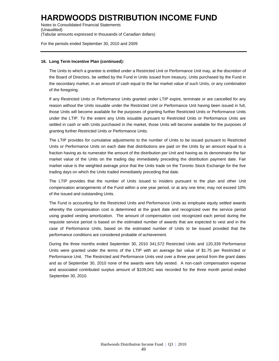Notes to Consolidated Financial Statements (Unaudited) (Tabular amounts expressed in thousands of Canadian dollars)

For the periods ended September 30, 2010 and 2009

### **16. Long Term Incentive Plan (continued):**

The Units to which a grantee is entitled under a Restricted Unit or Performance Unit may, at the discretion of the Board of Directors, be settled by the Fund in Units issued from treasury, Units purchased by the Fund in the secondary market, in an amount of cash equal to the fair market value of such Units, or any combination of the foregoing.

If any Restricted Units or Performance Units granted under LTIP expire, terminate or are cancelled for any reason without the Units issuable under the Restricted Unit or Performance Unit having been issued in full, those Units will become available for the purposes of granting further Restricted Units or Performance Units under the LTIP. To the extent any Units issuable pursuant to Restricted Units or Performance Units are settled in cash or with Units purchased in the market, those Units will become available for the purposes of granting further Restricted Units or Performance Units.

The LTIP provides for cumulative adjustments to the number of Units to be issued pursuant to Restricted Units or Performance Units on each date that distributions are paid on the Units by an amount equal to a fraction having as its numerator the amount of the distribution per Unit and having as its denominator the fair market value of the Units on the trading day immediately preceding the distribution payment date. Fair market value is the weighted average price that the Units trade on the Toronto Stock Exchange for the five trading days on which the Units traded immediately preceding that date.

The LTIP provides that the number of Units issued to insiders pursuant to the plan and other Unit compensation arrangements of the Fund within a one year period, or at any one time, may not exceed 10% of the issued and outstanding Units.

The Fund is accounting for the Restricted Units and Performance Units as employee equity settled awards whereby the compensation cost is determined at the grant date and recognized over the service period using graded vesting amortization. The amount of compensation cost recognized each period during the requisite service period is based on the estimated number of awards that are expected to vest and in the case of Performance Units, based on the estimated number of Units to be issued provided that the performance conditions are considered probable of achievement.

During the three months ended September 30, 2010 341,572 Restricted Units and 120,339 Performance Units were granted under the terms of the LTIP with an average fair value of \$1.75 per Restricted or Performance Unit. The Restricted and Performance Units vest over a three year period from the grant dates and as of September 30, 2010 none of the awards were fully vested. A non-cash compensation expense and associated contributed surplus amount of \$109,041 was recorded for the three month period ended September 30, 2010.